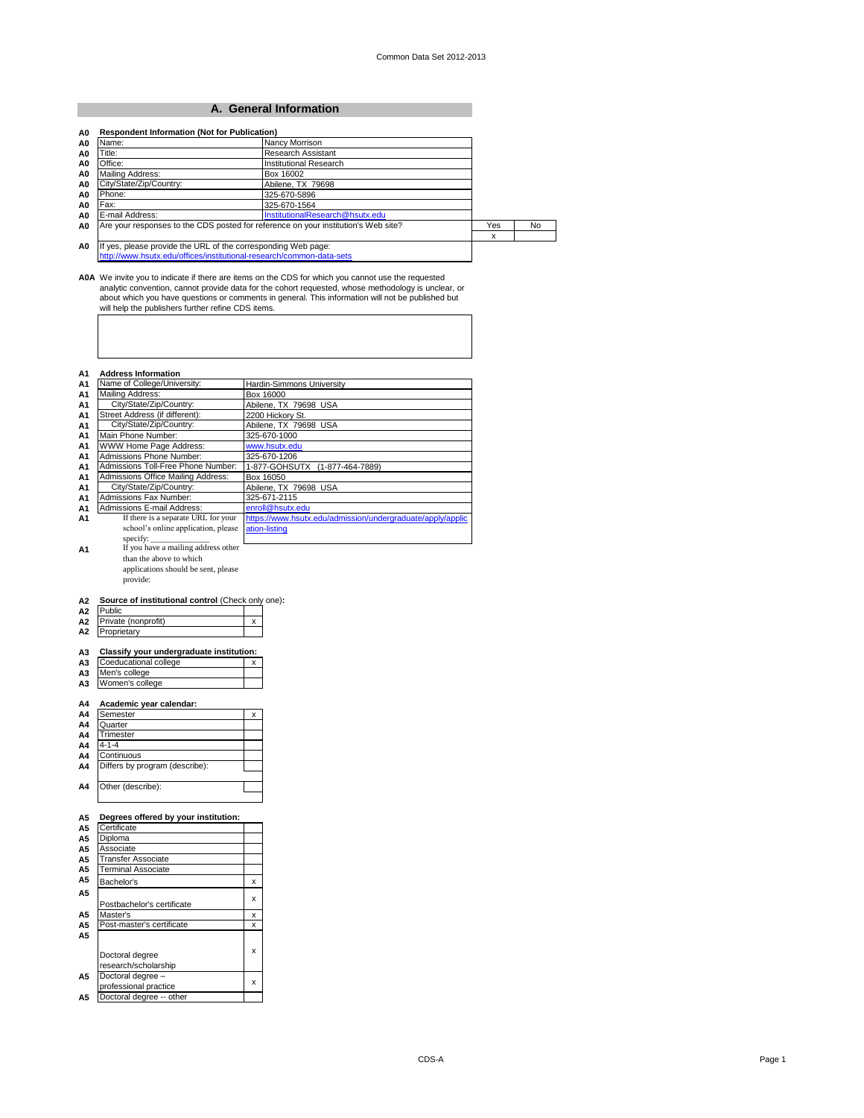#### **A. General Information**

| Name:                   | Nancy Morrison                                                                     |     |    |
|-------------------------|------------------------------------------------------------------------------------|-----|----|
| Title:                  | Research Assistant                                                                 |     |    |
| Office:                 | Institutional Research                                                             |     |    |
| Mailing Address:        | Box 16002                                                                          |     |    |
| City/State/Zip/Country: | Abilene, TX 79698                                                                  |     |    |
| Phone:                  | 325-670-5896                                                                       |     |    |
| Fax:                    | 325-670-1564                                                                       |     |    |
| E-mail Address:         | InstitutionalResearch@hsutx.edu                                                    |     |    |
|                         | Are your responses to the CDS posted for reference on your institution's Web site? | Yes | No |
|                         |                                                                                    | x   |    |
|                         | If yes, please provide the URL of the corresponding Web page:                      |     |    |
|                         | http://www.hsutx.edu/offices/institutional-research/common-data-sets               |     |    |

A0A We invite you to indicate if there are items on the CDS for which you cannot use the requested<br>analytic convention, cannot provide data for the cohort requested, whose methodology is unclear, or<br>about which you have qu

| A1             | <b>Address Information</b>          |                                                            |
|----------------|-------------------------------------|------------------------------------------------------------|
| A <sub>1</sub> | Name of College/University:         | Hardin-Simmons University                                  |
| A1             | Mailing Address:                    | Box 16000                                                  |
| A1             | City/State/Zip/Country:             | Abilene, TX 79698 USA                                      |
| A1             | Street Address (if different):      | 2200 Hickory St.                                           |
| A1             | City/State/Zip/Country:             | Abilene, TX 79698 USA                                      |
| A1             | Main Phone Number:                  | 325-670-1000                                               |
| A1             | WWW Home Page Address:              | www.hsutx.edu                                              |
| A1             | Admissions Phone Number:            | 325-670-1206                                               |
| A1             | Admissions Toll-Free Phone Number:  | 1-877-GOHSUTX (1-877-464-7889)                             |
| A1             | Admissions Office Mailing Address:  | Box 16050                                                  |
| A1             | City/State/Zip/Country:             | Abilene, TX 79698 USA                                      |
| A1             | Admissions Fax Number:              | 325-671-2115                                               |
| A1             | Admissions E-mail Address:          | enroll@hsutx.edu                                           |
| A1             | If there is a separate URL for your | https://www.hsutx.edu/admission/undergraduate/apply/applic |
|                | school's online application, please | ation-listing                                              |
|                | specify:                            |                                                            |
| A1             | If you have a mailing address other |                                                            |
|                | than the above to which             |                                                            |

than the above to which applications should be sent, please

provide:

# **A2 Source of institutional control** (Check only one):<br>**A2** Public

| Private (nonprofit)                      | x |
|------------------------------------------|---|
| Proprietary                              |   |
|                                          |   |
| Classify your undergraduate institution: |   |
| Coeducational college                    | x |
| Men's college                            |   |
| Women's college                          |   |
| Academic year calendar:                  |   |
| Semester                                 | x |
| Quarter                                  |   |
| Trimester                                |   |
| $4 - 1 - 4$                              |   |
| Continuous                               |   |
| Differs by program (describe):           |   |
| Other (describe):                        |   |
| Degrees offered by your institution:     |   |
| Certificate                              |   |
| Diploma                                  |   |
| Associate                                |   |
| <b>Transfer Associate</b>                |   |
| <b>Terminal Associate</b>                |   |
| Bachelor's                               | x |
|                                          | x |
| Postbachelor's certificate               |   |
| Master's                                 |   |

|                | I Postbachelor's certificate               |   |
|----------------|--------------------------------------------|---|
| A5             | Master's                                   |   |
| A <sub>5</sub> | Post-master's certificate                  |   |
| A5             |                                            |   |
|                | Doctoral degree<br>research/scholarship    | x |
| A <sub>5</sub> | Doctoral degree -<br>professional practice |   |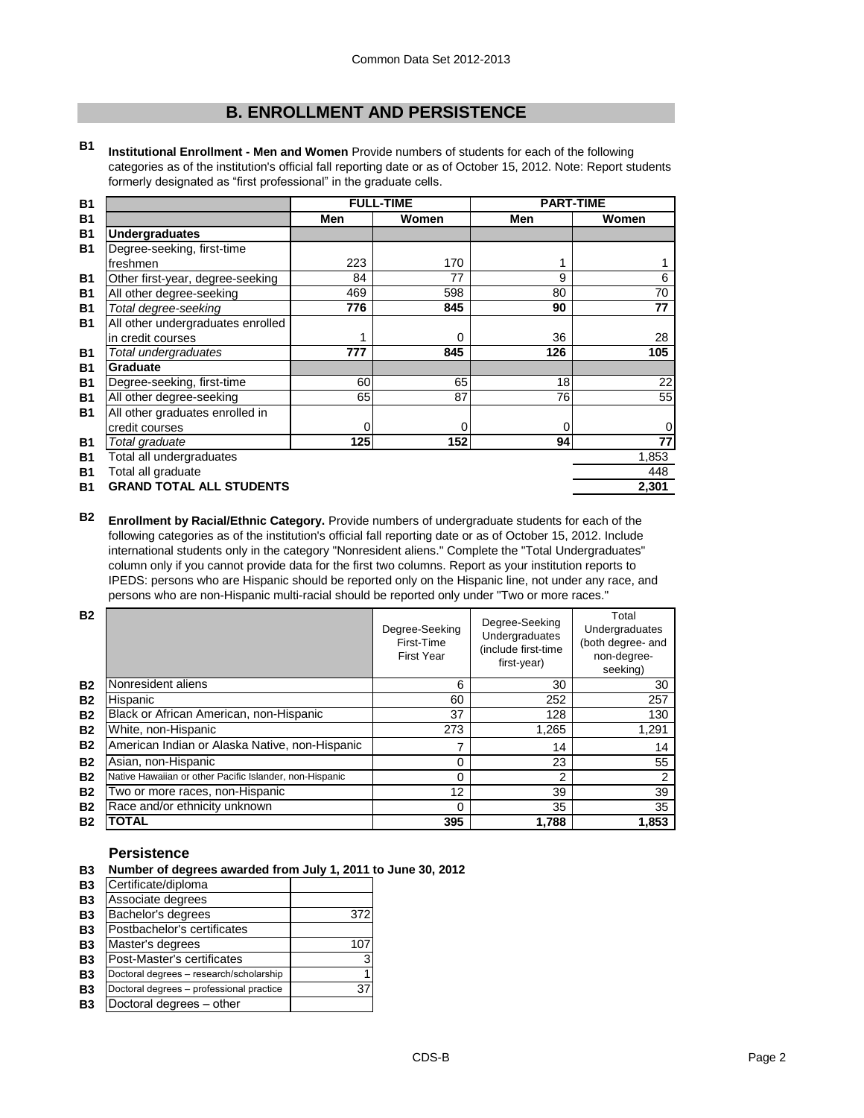# **B. ENROLLMENT AND PERSISTENCE**

**B1 Institutional Enrollment - Men and Women** Provide numbers of students for each of the following categories as of the institution's official fall reporting date or as of October 15, 2012. Note: Report students formerly designated as "first professional" in the graduate cells.

| <b>B1</b> |                                   |     | <b>FULL-TIME</b> |     | <b>PART-TIME</b> |
|-----------|-----------------------------------|-----|------------------|-----|------------------|
| <b>B1</b> |                                   | Men | Women            | Men | Women            |
| <b>B1</b> | Undergraduates                    |     |                  |     |                  |
| <b>B1</b> | Degree-seeking, first-time        |     |                  |     |                  |
|           | freshmen                          | 223 | 170              |     |                  |
| <b>B1</b> | Other first-year, degree-seeking  | 84  | 77               | 9   | 6                |
| <b>B1</b> | All other degree-seeking          | 469 | 598              | 80  | 70               |
| <b>B1</b> | Total degree-seeking              | 776 | 845              | 90  | 77               |
| <b>B1</b> | All other undergraduates enrolled |     |                  |     |                  |
|           | in credit courses                 |     | 0                | 36  | 28               |
| <b>B1</b> | Total undergraduates              | 777 | 845              | 126 | 105              |
| <b>B1</b> | Graduate                          |     |                  |     |                  |
| <b>B1</b> | Degree-seeking, first-time        | 60  | 65               | 18  | 22               |
| <b>B1</b> | All other degree-seeking          | 65  | 87               | 76  | 55               |
| <b>B1</b> | All other graduates enrolled in   |     |                  |     |                  |
|           | credit courses                    | 0   | 0                | 0   | 0                |
| <b>B1</b> | Total graduate                    | 125 | 152              | 94  | 77               |
| <b>B1</b> | Total all undergraduates          |     |                  |     | 1,853            |
| <b>B1</b> | Total all graduate                |     |                  |     | 448              |
| <b>B1</b> | <b>GRAND TOTAL ALL STUDENTS</b>   |     |                  |     | 2,301            |

**B2 Enrollment by Racial/Ethnic Category.** Provide numbers of undergraduate students for each of the following categories as of the institution's official fall reporting date or as of October 15, 2012. Include international students only in the category "Nonresident aliens." Complete the "Total Undergraduates" column only if you cannot provide data for the first two columns. Report as your institution reports to IPEDS: persons who are Hispanic should be reported only on the Hispanic line, not under any race, and persons who are non-Hispanic multi-racial should be reported only under "Two or more races."

| <b>B2</b> |                                                         | Degree-Seeking<br>First-Time<br><b>First Year</b> | Degree-Seeking<br>Undergraduates<br>(include first-time<br>first-year) | Total<br>Undergraduates<br>(both degree- and<br>non-degree-<br>seeking) |
|-----------|---------------------------------------------------------|---------------------------------------------------|------------------------------------------------------------------------|-------------------------------------------------------------------------|
| <b>B2</b> | Nonresident aliens                                      | 6                                                 | 30                                                                     | 30                                                                      |
| <b>B2</b> | Hispanic                                                | 60                                                | 252                                                                    | 257                                                                     |
| <b>B2</b> | Black or African American, non-Hispanic                 | 37                                                | 128                                                                    | 130                                                                     |
| <b>B2</b> | White, non-Hispanic                                     | 273                                               | 1,265                                                                  | 1,291                                                                   |
| <b>B2</b> | American Indian or Alaska Native, non-Hispanic          | 7                                                 | 14                                                                     | 14                                                                      |
| <b>B2</b> | Asian, non-Hispanic                                     | 0                                                 | 23                                                                     | 55                                                                      |
| <b>B2</b> | Native Hawaiian or other Pacific Islander, non-Hispanic | 0                                                 | 2                                                                      | 2                                                                       |
| <b>B2</b> | Two or more races, non-Hispanic                         | 12                                                | 39                                                                     | 39                                                                      |
| <b>B2</b> | Race and/or ethnicity unknown                           | 0                                                 | 35                                                                     | 35                                                                      |
| <b>B2</b> | <b>OTAL</b>                                             | 395                                               | 1,788                                                                  | 1,853                                                                   |

#### **Persistence**

- **B3 Number of degrees awarded from July 1, 2011 to June 30, 2012**
- **B3** Certificate/diploma<br>**B3** Associate degrees **B3** Associate degrees **B3** Bachelor's degrees 372 **B3** Postbachelor's certificates **B3** Master's degrees 107 **B3** Post-Master's certificates and the state of 3 **B3** Doctoral degrees – research/scholarship 1<br> **B3** Doctoral degrees – professional practice 37 **B3** Doctoral degrees – professional practice **B3** Doctoral degrees – other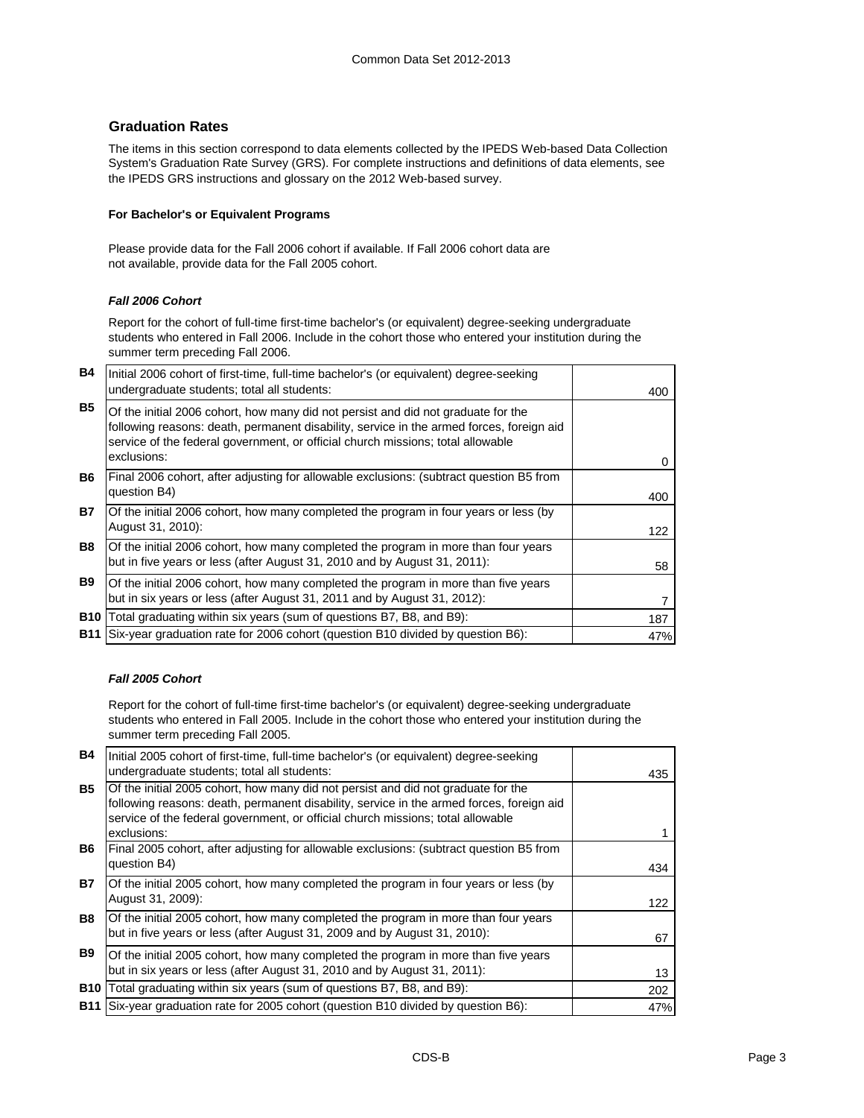#### **Graduation Rates**

The items in this section correspond to data elements collected by the IPEDS Web-based Data Collection System's Graduation Rate Survey (GRS). For complete instructions and definitions of data elements, see the IPEDS GRS instructions and glossary on the 2012 Web-based survey.

#### **For Bachelor's or Equivalent Programs**

Please provide data for the Fall 2006 cohort if available. If Fall 2006 cohort data are not available, provide data for the Fall 2005 cohort.

#### *Fall 2006 Cohort*

Report for the cohort of full-time first-time bachelor's (or equivalent) degree-seeking undergraduate students who entered in Fall 2006. Include in the cohort those who entered your institution during the summer term preceding Fall 2006.

| <b>B4</b>  | Initial 2006 cohort of first-time, full-time bachelor's (or equivalent) degree-seeking<br>undergraduate students; total all students:                                                                                                                                           | 400 |
|------------|---------------------------------------------------------------------------------------------------------------------------------------------------------------------------------------------------------------------------------------------------------------------------------|-----|
| <b>B5</b>  | Of the initial 2006 cohort, how many did not persist and did not graduate for the<br>following reasons: death, permanent disability, service in the armed forces, foreign aid<br>service of the federal government, or official church missions; total allowable<br>exclusions: | 0   |
| <b>B6</b>  | Final 2006 cohort, after adjusting for allowable exclusions: (subtract question B5 from<br>question B4)                                                                                                                                                                         | 400 |
| <b>B7</b>  | Of the initial 2006 cohort, how many completed the program in four years or less (by<br>August 31, 2010):                                                                                                                                                                       | 122 |
| <b>B8</b>  | Of the initial 2006 cohort, how many completed the program in more than four years<br>but in five years or less (after August 31, 2010 and by August 31, 2011):                                                                                                                 | 58  |
| <b>B9</b>  | Of the initial 2006 cohort, how many completed the program in more than five years<br>but in six years or less (after August 31, 2011 and by August 31, 2012):                                                                                                                  |     |
| <b>B10</b> | Total graduating within six years (sum of questions B7, B8, and B9):                                                                                                                                                                                                            | 187 |
| <b>B11</b> | Six-year graduation rate for 2006 cohort (question B10 divided by question B6):                                                                                                                                                                                                 | 47% |

#### *Fall 2005 Cohort*

Report for the cohort of full-time first-time bachelor's (or equivalent) degree-seeking undergraduate students who entered in Fall 2005. Include in the cohort those who entered your institution during the summer term preceding Fall 2005.

| <b>B4</b>  | Initial 2005 cohort of first-time, full-time bachelor's (or equivalent) degree-seeking<br>undergraduate students; total all students:                                                                                                                                           | 435 |
|------------|---------------------------------------------------------------------------------------------------------------------------------------------------------------------------------------------------------------------------------------------------------------------------------|-----|
| <b>B5</b>  | Of the initial 2005 cohort, how many did not persist and did not graduate for the<br>following reasons: death, permanent disability, service in the armed forces, foreign aid<br>service of the federal government, or official church missions; total allowable<br>exclusions: |     |
| B6.        | Final 2005 cohort, after adjusting for allowable exclusions: (subtract question B5 from<br>question B4)                                                                                                                                                                         | 434 |
| <b>B7</b>  | Of the initial 2005 cohort, how many completed the program in four years or less (by<br>August 31, 2009):                                                                                                                                                                       | 122 |
| <b>B8</b>  | Of the initial 2005 cohort, how many completed the program in more than four years<br>but in five years or less (after August 31, 2009 and by August 31, 2010):                                                                                                                 | 67  |
| B9         | Of the initial 2005 cohort, how many completed the program in more than five years<br>but in six years or less (after August 31, 2010 and by August 31, 2011):                                                                                                                  | 13  |
| <b>B10</b> | Total graduating within six years (sum of questions B7, B8, and B9):                                                                                                                                                                                                            | 202 |
|            | <b>B11</b> Six-year graduation rate for 2005 cohort (question B10 divided by question B6):                                                                                                                                                                                      | 47% |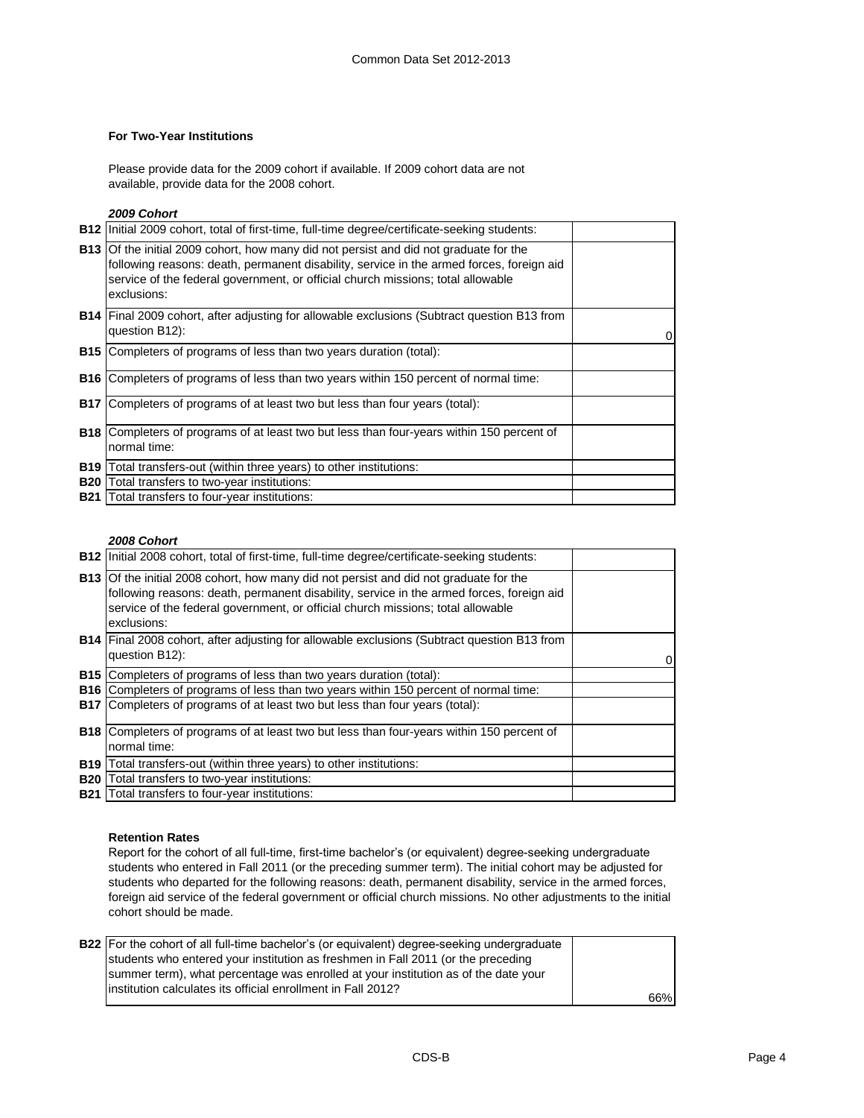#### **For Two-Year Institutions**

Please provide data for the 2009 cohort if available. If 2009 cohort data are not available, provide data for the 2008 cohort.

*2009 Cohort*

|            | <b>B12</b> Initial 2009 cohort, total of first-time, full-time degree/certificate-seeking students:                                                                                                                                                                                        |  |
|------------|--------------------------------------------------------------------------------------------------------------------------------------------------------------------------------------------------------------------------------------------------------------------------------------------|--|
|            | <b>B13</b> Of the initial 2009 cohort, how many did not persist and did not graduate for the<br>following reasons: death, permanent disability, service in the armed forces, foreign aid<br>service of the federal government, or official church missions; total allowable<br>exclusions: |  |
|            | <b>B14</b> Final 2009 cohort, after adjusting for allowable exclusions (Subtract question B13 from<br>question B12):                                                                                                                                                                       |  |
|            | <b>B15</b> Completers of programs of less than two years duration (total):                                                                                                                                                                                                                 |  |
|            | <b>B16</b> Completers of programs of less than two years within 150 percent of normal time:                                                                                                                                                                                                |  |
|            | <b>B17</b> Completers of programs of at least two but less than four years (total):                                                                                                                                                                                                        |  |
|            | <b>B18</b> Completers of programs of at least two but less than four-years within 150 percent of<br>normal time:                                                                                                                                                                           |  |
|            | <b>B19</b> Total transfers-out (within three years) to other institutions:                                                                                                                                                                                                                 |  |
| <b>B20</b> | Total transfers to two-year institutions:                                                                                                                                                                                                                                                  |  |
|            | <b>B21</b> Total transfers to four-year institutions:                                                                                                                                                                                                                                      |  |

#### *2008 Cohort*

| <b>B12</b> Initial 2008 cohort, total of first-time, full-time degree/certificate-seeking students:                                                                                      |          |
|------------------------------------------------------------------------------------------------------------------------------------------------------------------------------------------|----------|
| <b>B13</b> Of the initial 2008 cohort, how many did not persist and did not graduate for the<br>following reasons: death, permanent disability, service in the armed forces, foreign aid |          |
| service of the federal government, or official church missions; total allowable<br>exclusions:                                                                                           |          |
| <b>B14</b> Final 2008 cohort, after adjusting for allowable exclusions (Subtract question B13 from<br>question B12):                                                                     | $\Omega$ |
| <b>B15</b> Completers of programs of less than two years duration (total):                                                                                                               |          |
| <b>B16</b> Completers of programs of less than two years within 150 percent of normal time:                                                                                              |          |
| <b>B17</b> Completers of programs of at least two but less than four years (total):                                                                                                      |          |
| <b>B18</b> Completers of programs of at least two but less than four-years within 150 percent of<br>normal time:                                                                         |          |
| <b>B19</b> Total transfers-out (within three years) to other institutions:                                                                                                               |          |
| <b>B20</b> Total transfers to two-year institutions:                                                                                                                                     |          |
| <b>B21</b> Total transfers to four-year institutions:                                                                                                                                    |          |

#### **Retention Rates**

Report for the cohort of all full-time, first-time bachelor's (or equivalent) degree-seeking undergraduate students who entered in Fall 2011 (or the preceding summer term). The initial cohort may be adjusted for students who departed for the following reasons: death, permanent disability, service in the armed forces, foreign aid service of the federal government or official church missions. No other adjustments to the initial cohort should be made.

| <b>B22</b> For the cohort of all full-time bachelor's (or equivalent) degree-seeking undergraduate |     |
|----------------------------------------------------------------------------------------------------|-----|
| students who entered your institution as freshmen in Fall 2011 (or the preceding                   |     |
| summer term), what percentage was enrolled at your institution as of the date your                 |     |
| linstitution calculates its official enrollment in Fall 2012?                                      |     |
|                                                                                                    | 66% |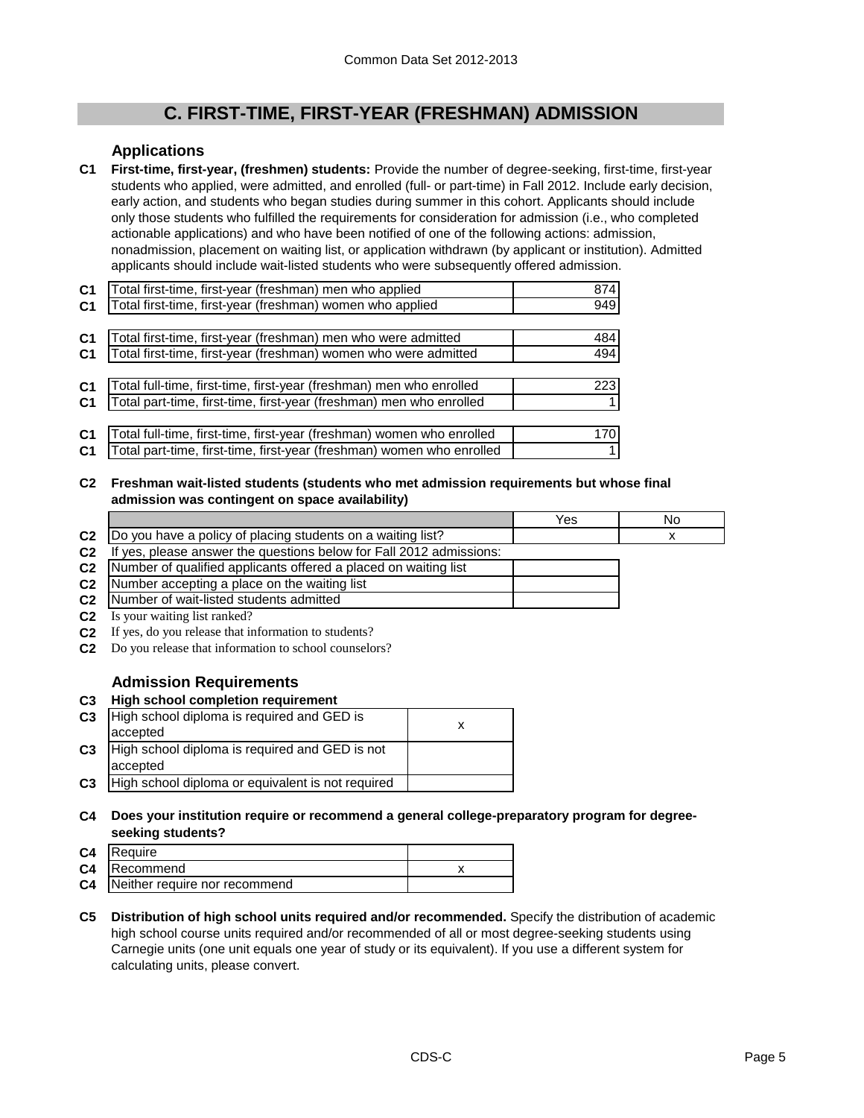# **C. FIRST-TIME, FIRST-YEAR (FRESHMAN) ADMISSION**

## **Applications**

**C1 First-time, first-year, (freshmen) students:** Provide the number of degree-seeking, first-time, first-year students who applied, were admitted, and enrolled (full- or part-time) in Fall 2012. Include early decision, early action, and students who began studies during summer in this cohort. Applicants should include only those students who fulfilled the requirements for consideration for admission (i.e., who completed actionable applications) and who have been notified of one of the following actions: admission, nonadmission, placement on waiting list, or application withdrawn (by applicant or institution). Admitted applicants should include wait-listed students who were subsequently offered admission.

| C <sub>1</sub> | Total first-time, first-year (freshman) men who applied               | 874        |
|----------------|-----------------------------------------------------------------------|------------|
| C <sub>1</sub> | Total first-time, first-year (freshman) women who applied             | 949        |
|                |                                                                       |            |
| C <sub>1</sub> | Total first-time, first-year (freshman) men who were admitted         | 484 l      |
| C <sub>1</sub> | Total first-time, first-year (freshman) women who were admitted       | 494        |
|                |                                                                       |            |
| C <sub>1</sub> | Total full-time, first-time, first-year (freshman) men who enrolled   | <b>223</b> |
| C <sub>1</sub> | Total part-time, first-time, first-year (freshman) men who enrolled   |            |
|                |                                                                       |            |
| C <sub>1</sub> | Total full-time, first-time, first-year (freshman) women who enrolled | 170I       |
| C <sub>1</sub> | Total part-time, first-time, first-year (freshman) women who enrolled |            |
|                |                                                                       |            |

**C2 Freshman wait-listed students (students who met admission requirements but whose final admission was contingent on space availability)**

|                |                                                                                                                                                                                                                                                                                                                                    | Yes | No |
|----------------|------------------------------------------------------------------------------------------------------------------------------------------------------------------------------------------------------------------------------------------------------------------------------------------------------------------------------------|-----|----|
| C <sub>2</sub> | Do you have a policy of placing students on a waiting list?                                                                                                                                                                                                                                                                        |     |    |
| C <sub>2</sub> | yes, please answer the questions below for Fall 2012 admissions:<br>-lf                                                                                                                                                                                                                                                            |     |    |
| C <sub>2</sub> | Number of qualified applicants offered a placed on waiting list                                                                                                                                                                                                                                                                    |     |    |
| C <sub>2</sub> | Number accepting a place on the waiting list                                                                                                                                                                                                                                                                                       |     |    |
|                | <b>C2</b> Number of wait-listed students admitted                                                                                                                                                                                                                                                                                  |     |    |
|                | $\mathbf{A}$ $\mathbf{A}$ $\mathbf{A}$ $\mathbf{B}$ $\mathbf{A}$ $\mathbf{B}$ $\mathbf{A}$ $\mathbf{B}$ $\mathbf{A}$ $\mathbf{B}$ $\mathbf{A}$ $\mathbf{B}$ $\mathbf{A}$ $\mathbf{B}$ $\mathbf{A}$ $\mathbf{B}$ $\mathbf{A}$ $\mathbf{B}$ $\mathbf{A}$ $\mathbf{B}$ $\mathbf{A}$ $\mathbf{B}$ $\mathbf{A}$ $\mathbf{B}$ $\mathbf{$ |     |    |

- **C2** Is your waiting list ranked?
- **C2** If yes, do you release that information to students?
- **C2** Do you release that information to school counselors?

## **Admission Requirements**

**C3 High school completion requirement**

| C <sub>3</sub> | High school diploma is required and GED is<br>accepted     |  |
|----------------|------------------------------------------------------------|--|
| C <sub>3</sub> | High school diploma is required and GED is not<br>accepted |  |
| C <sub>3</sub> | High school diploma or equivalent is not required          |  |
|                |                                                            |  |

**C4 Does your institution require or recommend a general college-preparatory program for degreeseeking students?**

| C4             | <b>IRequire</b>               |  |
|----------------|-------------------------------|--|
|                | <b>C4</b> Recommend           |  |
| C <sub>4</sub> | Neither require nor recommend |  |

**C5 Distribution of high school units required and/or recommended.** Specify the distribution of academic high school course units required and/or recommended of all or most degree-seeking students using Carnegie units (one unit equals one year of study or its equivalent). If you use a different system for calculating units, please convert.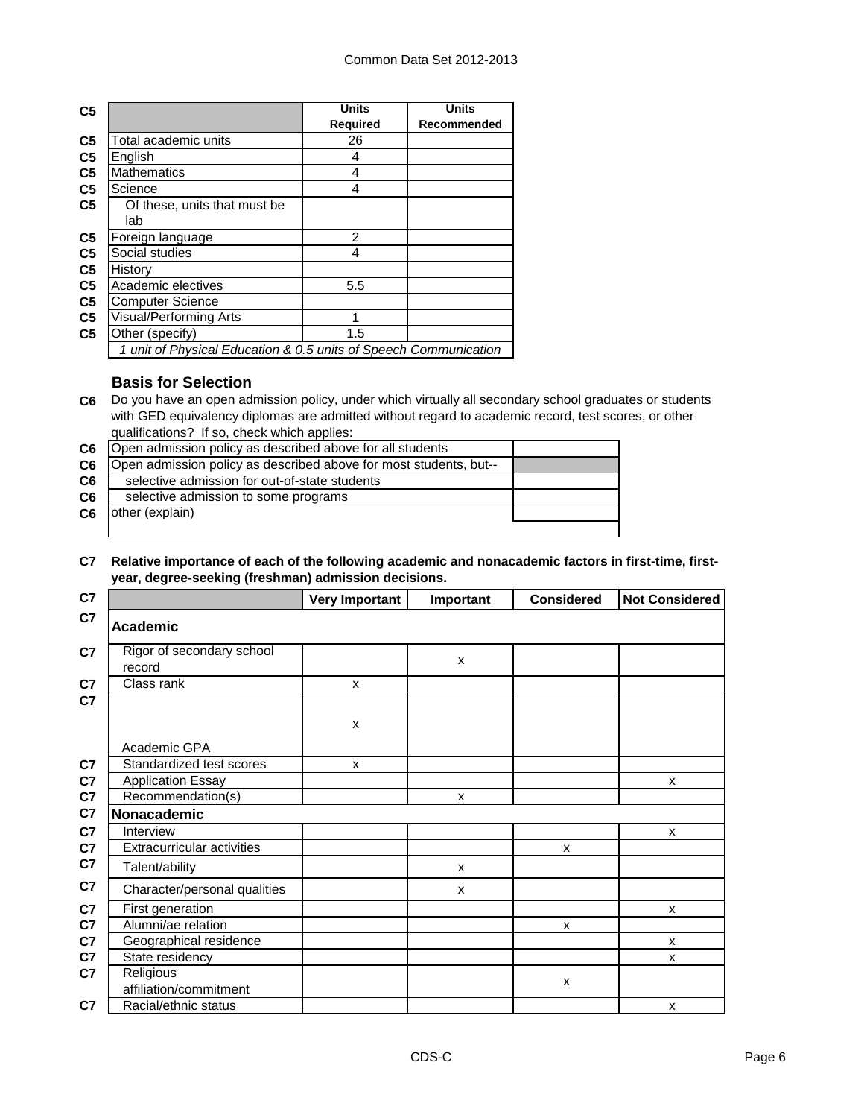| C <sub>5</sub> |                                                                  | <b>Units</b>    | <b>Units</b> |
|----------------|------------------------------------------------------------------|-----------------|--------------|
|                |                                                                  | <b>Required</b> | Recommended  |
| C <sub>5</sub> | Total academic units                                             | 26              |              |
| C <sub>5</sub> | English                                                          | 4               |              |
| C <sub>5</sub> | <b>Mathematics</b>                                               | 4               |              |
| C <sub>5</sub> | Science                                                          | 4               |              |
| C <sub>5</sub> | Of these, units that must be                                     |                 |              |
|                | lab                                                              |                 |              |
| C <sub>5</sub> | Foreign language                                                 | $\mathcal{P}$   |              |
| C <sub>5</sub> | Social studies                                                   | 4               |              |
| C <sub>5</sub> | History                                                          |                 |              |
| C <sub>5</sub> | Academic electives                                               | 5.5             |              |
| C <sub>5</sub> | <b>Computer Science</b>                                          |                 |              |
| C <sub>5</sub> | Visual/Performing Arts                                           |                 |              |
| C <sub>5</sub> | Other (specify)                                                  | 1.5             |              |
|                | 1 unit of Physical Education & 0.5 units of Speech Communication |                 |              |

## **Basis for Selection**

**C6** Do you have an open admission policy, under which virtually all secondary school graduates or students with GED equivalency diplomas are admitted without regard to academic record, test scores, or other qualifications? If so, check which applies:

| C <sub>6</sub> | Open admission policy as described above for all students         |  |
|----------------|-------------------------------------------------------------------|--|
| C6             | Open admission policy as described above for most students, but-- |  |
| C <sub>6</sub> | selective admission for out-of-state students                     |  |
| C <sub>6</sub> | selective admission to some programs                              |  |
| C6             | other (explain)                                                   |  |
|                |                                                                   |  |

#### **C7 Relative importance of each of the following academic and nonacademic factors in first-time, firstyear, degree-seeking (freshman) admission decisions.**

| C7             |                                     | <b>Very Important</b> | Important      | <b>Considered</b> | <b>Not Considered</b> |
|----------------|-------------------------------------|-----------------------|----------------|-------------------|-----------------------|
| C7             | <b>Academic</b>                     |                       |                |                   |                       |
| C <sub>7</sub> | Rigor of secondary school<br>record |                       | $\pmb{\times}$ |                   |                       |
| C7<br>C7       | Class rank                          | X                     |                |                   |                       |
|                |                                     | X                     |                |                   |                       |
|                | Academic GPA                        |                       |                |                   |                       |
| C7             | Standardized test scores            | x                     |                |                   |                       |
| C7             | <b>Application Essay</b>            |                       |                |                   | X                     |
| C7             | Recommendation(s)                   |                       | X              |                   |                       |
| C7             | Nonacademic                         |                       |                |                   |                       |
| C7             | Interview                           |                       |                |                   | X                     |
| C7             | <b>Extracurricular activities</b>   |                       |                | X                 |                       |
| C7             | Talent/ability                      |                       | X              |                   |                       |
| C7             | Character/personal qualities        |                       | X              |                   |                       |
| C7             | First generation                    |                       |                |                   | X                     |
| C <sub>7</sub> | Alumni/ae relation                  |                       |                | X                 |                       |
| C7             | Geographical residence              |                       |                |                   | X                     |
| C7             | State residency                     |                       |                |                   | $\mathsf{x}$          |
| C7             | Religious<br>affiliation/commitment |                       |                | X                 |                       |
| C7             | Racial/ethnic status                |                       |                |                   | X                     |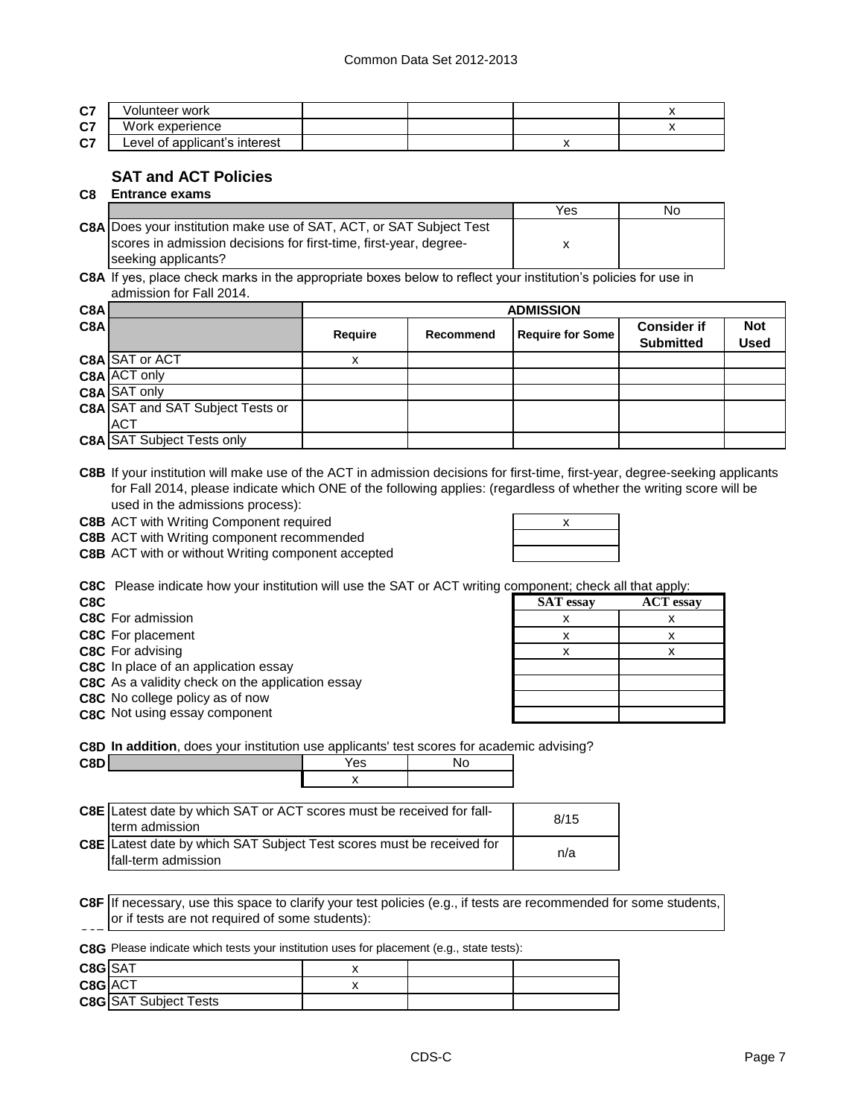| 07<br>vı | /olunteer work                |  |  |
|----------|-------------------------------|--|--|
| 07<br>v, | /ork<br>experience            |  |  |
| 07<br>v1 | Level of applicant's interest |  |  |

## **SAT and ACT Policies**

**C8 Entrance exams** 

|                                                                            | Yes | No |
|----------------------------------------------------------------------------|-----|----|
| <b>C8A</b> Does your institution make use of SAT, ACT, or SAT Subject Test |     |    |
| scores in admission decisions for first-time, first-year, degree-          |     |    |
| seeking applicants?                                                        |     |    |

**C8A** If yes, place check marks in the appropriate boxes below to reflect your institution's policies for use in admission for Fall 2014.

| C8A |                                         | <b>ADMISSION</b> |           |                         |                                        |                           |  |
|-----|-----------------------------------------|------------------|-----------|-------------------------|----------------------------------------|---------------------------|--|
| C8A |                                         | Require          | Recommend | <b>Require for Some</b> | <b>Consider if</b><br><b>Submitted</b> | <b>Not</b><br><b>Used</b> |  |
|     | C8A SAT or ACT                          |                  |           |                         |                                        |                           |  |
|     | <b>C8A ACT only</b>                     |                  |           |                         |                                        |                           |  |
|     | C8A SAT only                            |                  |           |                         |                                        |                           |  |
|     | <b>C8A</b> SAT and SAT Subject Tests or |                  |           |                         |                                        |                           |  |
|     | ACT                                     |                  |           |                         |                                        |                           |  |
|     | <b>C8A SAT Subject Tests only</b>       |                  |           |                         |                                        |                           |  |

**C8B** If your institution will make use of the ACT in admission decisions for first-time, first-year, degree-seeking applicants for Fall 2014, please indicate which ONE of the following applies: (regardless of whether the writing score will be used in the admissions process):

**C8B** ACT with Writing Component required **ACT 100 AM RES** 2008

**C8B** ACT with Writing component recommended

| x |
|---|
|   |
|   |

**C8B** ACT with or without Writing component accepted

**C8C** Please indicate how your institution will use the SAT or ACT writing component; check all that apply:

| C8C |                          |
|-----|--------------------------|
|     | <b>C8C</b> For admission |

| COC T ICASC INDICATE HOW YOUL INSTITUTION WILL USE THE OAT OF ACT WHILH YOU IDONCHI, CHECK AIL THAT APPLY. |                  |                  |
|------------------------------------------------------------------------------------------------------------|------------------|------------------|
| C8C.                                                                                                       | <b>SAT</b> essay | <b>ACT</b> essay |
| C8C For admission                                                                                          |                  |                  |
| <b>C8C</b> For placement                                                                                   |                  |                  |
| <b>C8C</b> For advising                                                                                    |                  |                  |
| C8C In place of an application essay                                                                       |                  |                  |
| C8C As a validity check on the application essay                                                           |                  |                  |
| C8C No college policy as of now                                                                            |                  |                  |
| C8C Not using essay component                                                                              |                  |                  |
|                                                                                                            |                  |                  |

**C8D In addition**, does your institution use applicants' test scores for academic advising?

| C8E Latest date by which SAT or ACT scores must be received for fall- | 8/15 |
|-----------------------------------------------------------------------|------|
| term admission                                                        |      |
| C8E Latest date by which SAT Subject Test scores must be received for |      |
| fall-term admission                                                   | n/a  |

**C8F** If necessary, use this space to clarify your test policies (e.g., if tests are recommended for some students, or if tests are not required of some students):

**C8F C8G** Please indicate which tests your institution uses for placement (e.g., state tests):

**C8D** No

| C8G SAT |                              |  |  |
|---------|------------------------------|--|--|
| C8G ACT |                              |  |  |
|         | <b>C8G</b> SAT Subject Tests |  |  |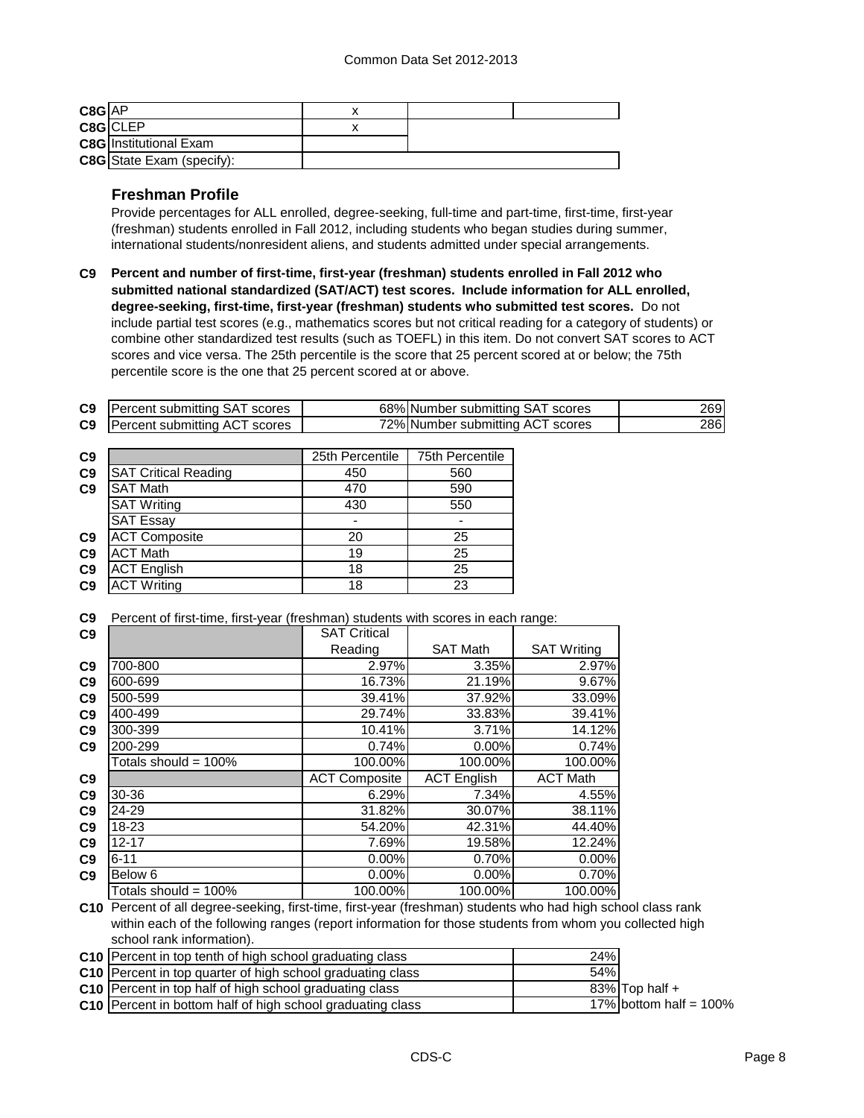| C8G AP |                                  |  |  |
|--------|----------------------------------|--|--|
|        | C8G CLEP                         |  |  |
|        | <b>C8G</b> Institutional Exam    |  |  |
|        | <b>C8G</b> State Exam (specify): |  |  |

## **Freshman Profile**

Provide percentages for ALL enrolled, degree-seeking, full-time and part-time, first-time, first-year (freshman) students enrolled in Fall 2012, including students who began studies during summer, international students/nonresident aliens, and students admitted under special arrangements.

**C9 Percent and number of first-time, first-year (freshman) students enrolled in Fall 2012 who submitted national standardized (SAT/ACT) test scores. Include information for ALL enrolled, degree-seeking, first-time, first-year (freshman) students who submitted test scores.** Do not include partial test scores (e.g., mathematics scores but not critical reading for a category of students) or combine other standardized test results (such as TOEFL) in this item. Do not convert SAT scores to ACT scores and vice versa. The 25th percentile is the score that 25 percent scored at or below; the 75th percentile score is the one that 25 percent scored at or above.

| C9             | Percent submitting SAT scores                                                                                |                      | 68% Number submitting SAT scores | 269                |     |
|----------------|--------------------------------------------------------------------------------------------------------------|----------------------|----------------------------------|--------------------|-----|
| C <sub>9</sub> | Percent submitting ACT scores                                                                                |                      | 72% Number submitting ACT scores |                    | 286 |
|                |                                                                                                              |                      |                                  |                    |     |
| C <sub>9</sub> |                                                                                                              | 25th Percentile      | 75th Percentile                  |                    |     |
| C9             | <b>SAT Critical Reading</b>                                                                                  | 450                  | 560                              |                    |     |
| C <sub>9</sub> | <b>SAT Math</b>                                                                                              | 470                  | 590                              |                    |     |
|                | <b>SAT Writing</b>                                                                                           | 430                  | 550                              |                    |     |
|                | <b>SAT Essay</b>                                                                                             |                      |                                  |                    |     |
| C9             | <b>ACT Composite</b>                                                                                         | 20                   | 25                               |                    |     |
| C9             | <b>ACT Math</b>                                                                                              | 19                   | 25                               |                    |     |
| C9             | <b>ACT English</b>                                                                                           | 18                   | 25                               |                    |     |
| C9             | <b>ACT Writing</b>                                                                                           | 18                   | 23                               |                    |     |
| C9             | Percent of first-time, first-year (freshman) students with scores in each range:                             |                      |                                  |                    |     |
| C9             |                                                                                                              | <b>SAT Critical</b>  |                                  |                    |     |
|                |                                                                                                              | Reading              | <b>SAT Math</b>                  | <b>SAT Writing</b> |     |
| C9             | 700-800                                                                                                      | 2.97%                | 3.35%                            | 2.97%              |     |
| C <sub>9</sub> | 600-699                                                                                                      | 16.73%               | 21.19%                           | 9.67%              |     |
| C <sub>9</sub> | 500-599                                                                                                      | 39.41%               | 37.92%                           | 33.09%             |     |
| C <sub>9</sub> | 400-499                                                                                                      | 29.74%               | 33.83%                           | 39.41%             |     |
| C <sub>9</sub> | 300-399                                                                                                      | 10.41%               | 3.71%                            | 14.12%             |     |
| C9             | 200-299                                                                                                      | 0.74%                | 0.00%                            | 0.74%              |     |
|                | Totals should = $100\%$                                                                                      | 100.00%              | 100.00%                          | 100.00%            |     |
| C9             |                                                                                                              | <b>ACT Composite</b> | <b>ACT English</b>               | <b>ACT Math</b>    |     |
| C9             | 30-36                                                                                                        | 6.29%                | 7.34%                            | 4.55%              |     |
| C <sub>9</sub> | 24-29                                                                                                        | 31.82%               | 30.07%                           | 38.11%             |     |
| C <sub>9</sub> | 18-23                                                                                                        | 54.20%               | 42.31%                           | 44.40%             |     |
| C <sub>9</sub> | $12 - 17$                                                                                                    | 7.69%                | 19.58%                           | 12.24%             |     |
| C9             | $6 - 11$                                                                                                     | 0.00%                | 0.70%                            | 0.00%              |     |
| C9             | Below 6                                                                                                      | 0.00%                | 0.00%                            | 0.70%              |     |
|                | Totals should = 100%                                                                                         | 100.00%              | 100.00%                          | 100.00%            |     |
|                | C10 Percent of all degree-seeking, first-time, first-year (freshman) students who had high school class rank |                      |                                  |                    |     |
|                |                                                                                                              |                      |                                  |                    |     |

within each of the following ranges (report information for those students from whom you collected high school rank information).

| <b>C10</b> Percent in top tenth of high school graduating class        | 24% |                           |
|------------------------------------------------------------------------|-----|---------------------------|
| C <sub>10</sub> Percent in top quarter of high school graduating class | 54% |                           |
| <b>C10</b> Percent in top half of high school graduating class         |     | 83% Top half +            |
| <b>C10</b> Percent in bottom half of high school graduating class      |     | 17% bottom half = $100\%$ |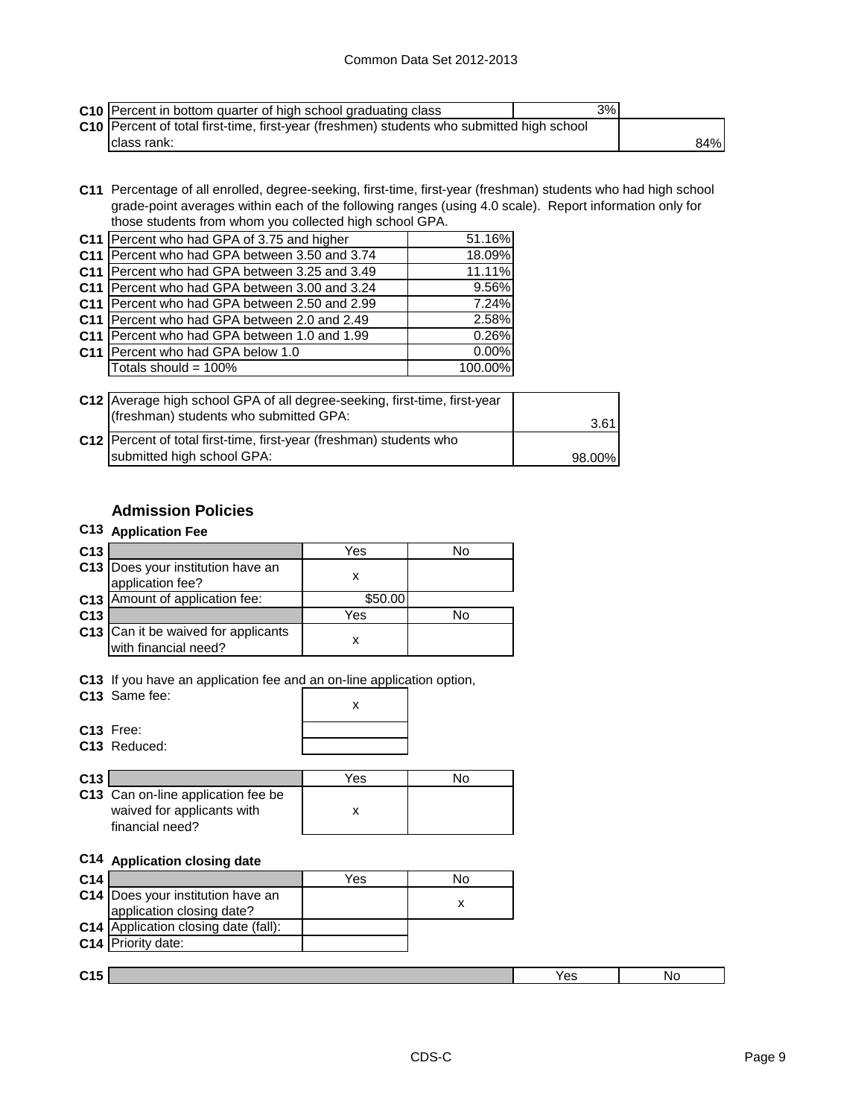| C10 Percent in bottom quarter of high school graduating class                             | 3% |     |
|-------------------------------------------------------------------------------------------|----|-----|
| C10 Percent of total first-time, first-year (freshmen) students who submitted high school |    |     |
| Iclass rank:                                                                              |    | 84% |

**C11** Percentage of all enrolled, degree-seeking, first-time, first-year (freshman) students who had high school grade-point averages within each of the following ranges (using 4.0 scale). Report information only for those students from whom you collected high school GPA.

|                 | C11 Percent who had GPA of 3.75 and higher    | 51.16%  |
|-----------------|-----------------------------------------------|---------|
|                 | C11 Percent who had GPA between 3.50 and 3.74 | 18.09%  |
|                 | C11 Percent who had GPA between 3.25 and 3.49 | 11.11%  |
|                 | C11 Percent who had GPA between 3.00 and 3.24 | 9.56%   |
|                 | C11 Percent who had GPA between 2.50 and 2.99 | 7.24%   |
|                 | C11 Percent who had GPA between 2.0 and 2.49  | 2.58%   |
| C <sub>11</sub> | Percent who had GPA between 1.0 and 1.99      | 0.26%   |
|                 | C11 Percent who had GPA below 1.0             | 0.00%   |
|                 | Totals should = 100%                          | 100.00% |
|                 |                                               |         |

| C12 Average high school GPA of all degree-seeking, first-time, first-year<br>(freshman) students who submitted GPA: | 3.61   |
|---------------------------------------------------------------------------------------------------------------------|--------|
| C12 Percent of total first-time, first-year (freshman) students who                                                 |        |
| submitted high school GPA:                                                                                          | 98.00% |

# **Admission Policies**

# **C13 Application Fee**

| C <sub>13</sub> |                                                             | Yes     | No |
|-----------------|-------------------------------------------------------------|---------|----|
|                 | C13 Does your institution have an<br>application fee?       |         |    |
|                 | C13 Amount of application fee:                              | \$50.00 |    |
| C <sub>13</sub> |                                                             | Yes     | N٥ |
|                 | C13 Can it be waived for applicants<br>with financial need? |         |    |

**C13** If you have an application fee and an on-line application option,

| C13 Same fee: |  |
|---------------|--|
| $C13$ Free:   |  |
| C13 Reduced:  |  |

| C <sub>13</sub> |                                                                                     | Yes |  |
|-----------------|-------------------------------------------------------------------------------------|-----|--|
|                 | C13 Can on-line application fee be<br>waived for applicants with<br>financial need? |     |  |

### **C14 Application closing date**

| C <sub>14</sub> |                                      | Yes | No |     |    |
|-----------------|--------------------------------------|-----|----|-----|----|
|                 | C14   Does your institution have an  |     |    |     |    |
|                 | application closing date?            |     | х  |     |    |
|                 | C14 Application closing date (fall): |     |    |     |    |
|                 | C14 Priority date:                   |     |    |     |    |
|                 |                                      |     |    |     |    |
| C <sub>15</sub> |                                      |     |    | Yes | No |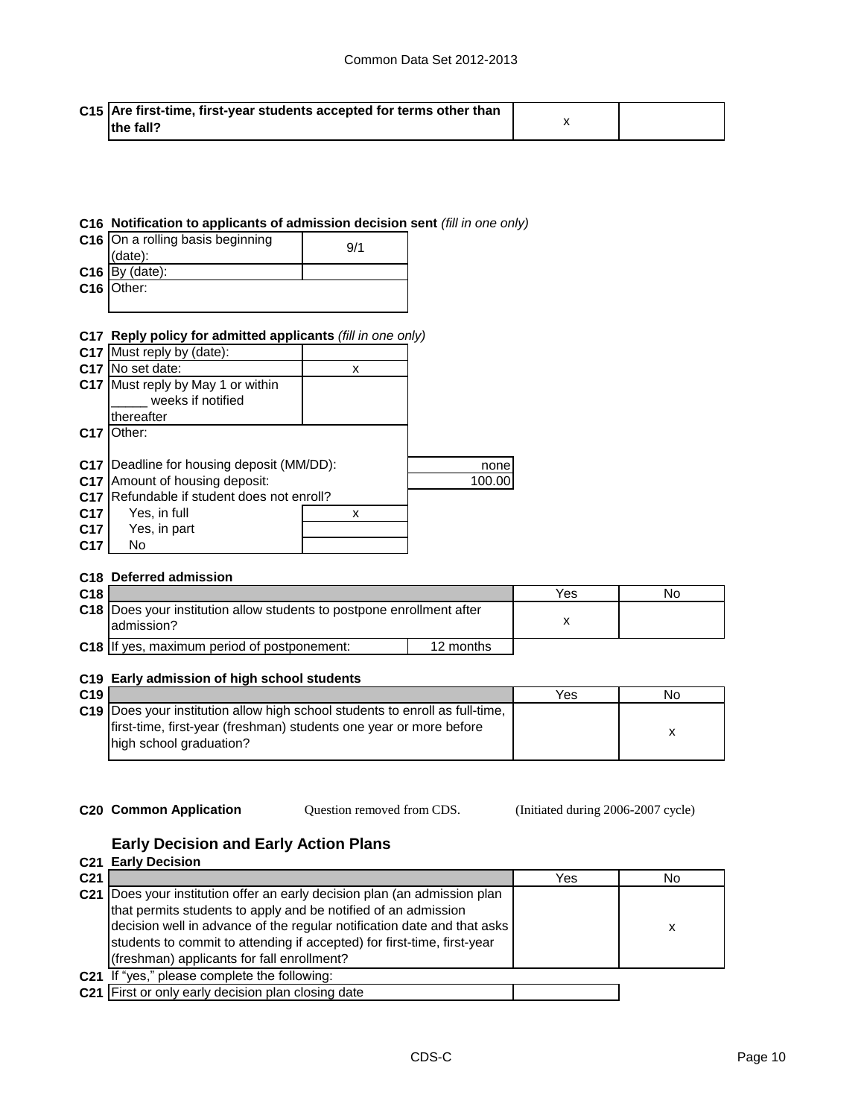| C15 Are first-time, first-year students accepted for terms other than |  |
|-----------------------------------------------------------------------|--|
| <b>Ithe fall?</b>                                                     |  |

#### **C16 Notification to applicants of admission decision sent** *(fill in one only)*

| C16 On a rolling basis beginning<br>(data): | 9/1 |
|---------------------------------------------|-----|
| $C16$ By (date):                            |     |
| C16 Other:                                  |     |
|                                             |     |

#### **C17 Reply policy for admitted applicants** *(fill in one only)*

| C <sub>17</sub> | Must reply by (date):                  |   |        |
|-----------------|----------------------------------------|---|--------|
| C <sub>17</sub> | No set date:                           | х |        |
|                 | C17 Must reply by May 1 or within      |   |        |
|                 | weeks if notified                      |   |        |
|                 | thereafter                             |   |        |
| C <sub>17</sub> | Other:                                 |   |        |
|                 |                                        |   |        |
| C <sub>17</sub> | Deadline for housing deposit (MM/DD):  |   | none   |
| C <sub>17</sub> | Amount of housing deposit:             |   | 100.00 |
| C <sub>17</sub> | Refundable if student does not enroll? |   |        |
| C <sub>17</sub> | Yes, in full                           | х |        |
| C <sub>17</sub> | Yes, in part                           |   |        |
| C <sub>17</sub> | No                                     |   |        |

#### **C18 Deferred admission**

| C <sub>18</sub> |                                                                                        |           | Yes | No |
|-----------------|----------------------------------------------------------------------------------------|-----------|-----|----|
|                 | C18   Does your institution allow students to postpone enrollment after<br>ladmission? |           |     |    |
|                 | <b>C18</b> If yes, maximum period of postponement:                                     | 12 months |     |    |

#### **C19 Early admission of high school students**

| C <sub>19</sub> |                                                                              | Yes | Nο |
|-----------------|------------------------------------------------------------------------------|-----|----|
|                 | C19 Does your institution allow high school students to enroll as full-time, |     |    |
|                 | first-time, first-year (freshman) students one year or more before           |     |    |
|                 | high school graduation?                                                      |     |    |
|                 |                                                                              |     |    |

Question removed from CDS.

**C20 Common Application Question removed from CDS.** (Initiated during 2006-2007 cycle)

## **Early Decision and Early Action Plans**

|                 | C <sub>21</sub> Early Decision                                                                                                                                                                                                                                                                                                                  |     |    |
|-----------------|-------------------------------------------------------------------------------------------------------------------------------------------------------------------------------------------------------------------------------------------------------------------------------------------------------------------------------------------------|-----|----|
| C <sub>21</sub> |                                                                                                                                                                                                                                                                                                                                                 | Yes | No |
|                 | C21 Does your institution offer an early decision plan (an admission plan<br>that permits students to apply and be notified of an admission<br>decision well in advance of the regular notification date and that asks<br>students to commit to attending if accepted) for first-time, first-year<br>(freshman) applicants for fall enrollment? |     | х  |
|                 | C21 If "yes," please complete the following:                                                                                                                                                                                                                                                                                                    |     |    |
|                 | C21 First or only early decision plan closing date                                                                                                                                                                                                                                                                                              |     |    |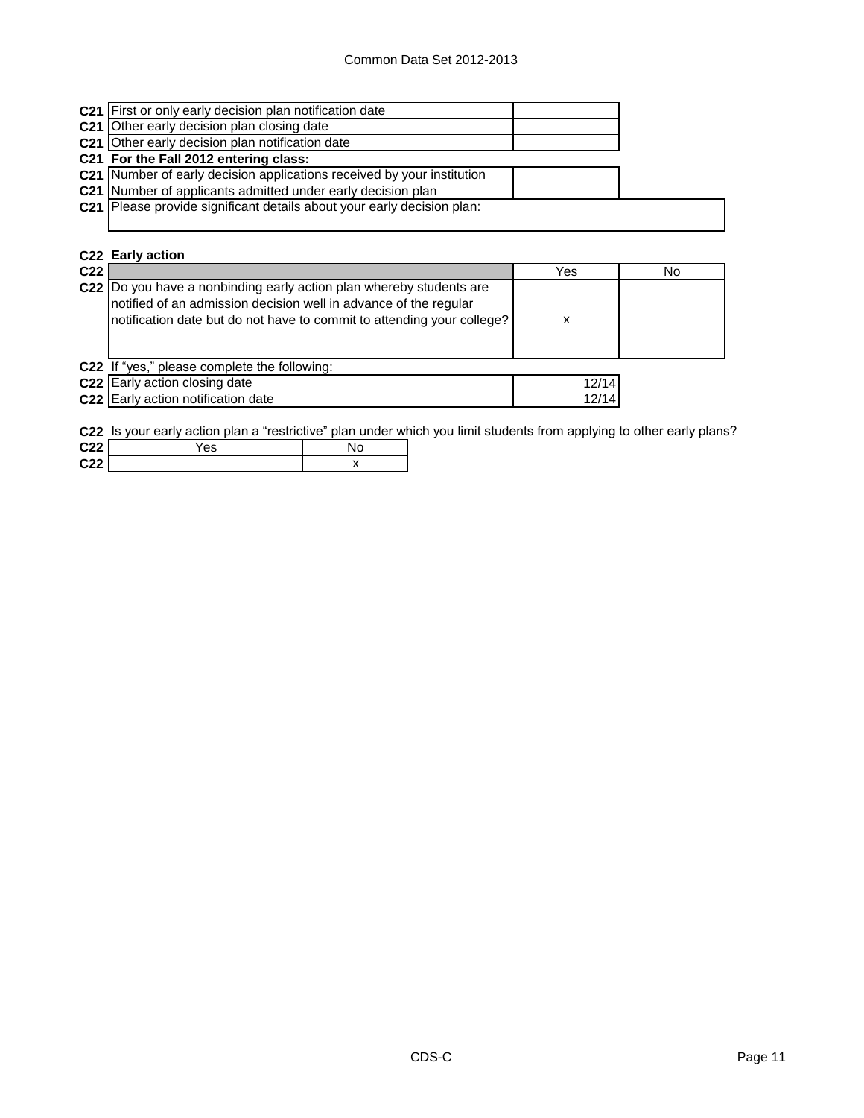| C21 First or only early decision plan notification date                       |  |
|-------------------------------------------------------------------------------|--|
| <b>C21</b> Other early decision plan closing date                             |  |
| C21 Other early decision plan notification date                               |  |
| C21 For the Fall 2012 entering class:                                         |  |
| <b>C21</b> Number of early decision applications received by your institution |  |
| C21 Number of applicants admitted under early decision plan                   |  |
| C21 Please provide significant details about your early decision plan:        |  |
|                                                                               |  |
|                                                                               |  |
| C22 Early action                                                              |  |

| C <sub>22</sub> |                                                                                                                                                                                                                    | Yes   | No |
|-----------------|--------------------------------------------------------------------------------------------------------------------------------------------------------------------------------------------------------------------|-------|----|
|                 | C22  Do you have a nonbinding early action plan whereby students are<br>notified of an admission decision well in advance of the regular<br>notification date but do not have to commit to attending your college? | х     |    |
|                 | C22 If "yes," please complete the following:                                                                                                                                                                       |       |    |
|                 | C22 Early action closing date                                                                                                                                                                                      | 12/14 |    |
|                 | C22 Early action notification date                                                                                                                                                                                 | 12/14 |    |

**C22** Is your early action plan a "restrictive" plan under which you limit students from applying to other early plans?

| <b>C22</b> | es |  |
|------------|----|--|
| <b>C22</b> |    |  |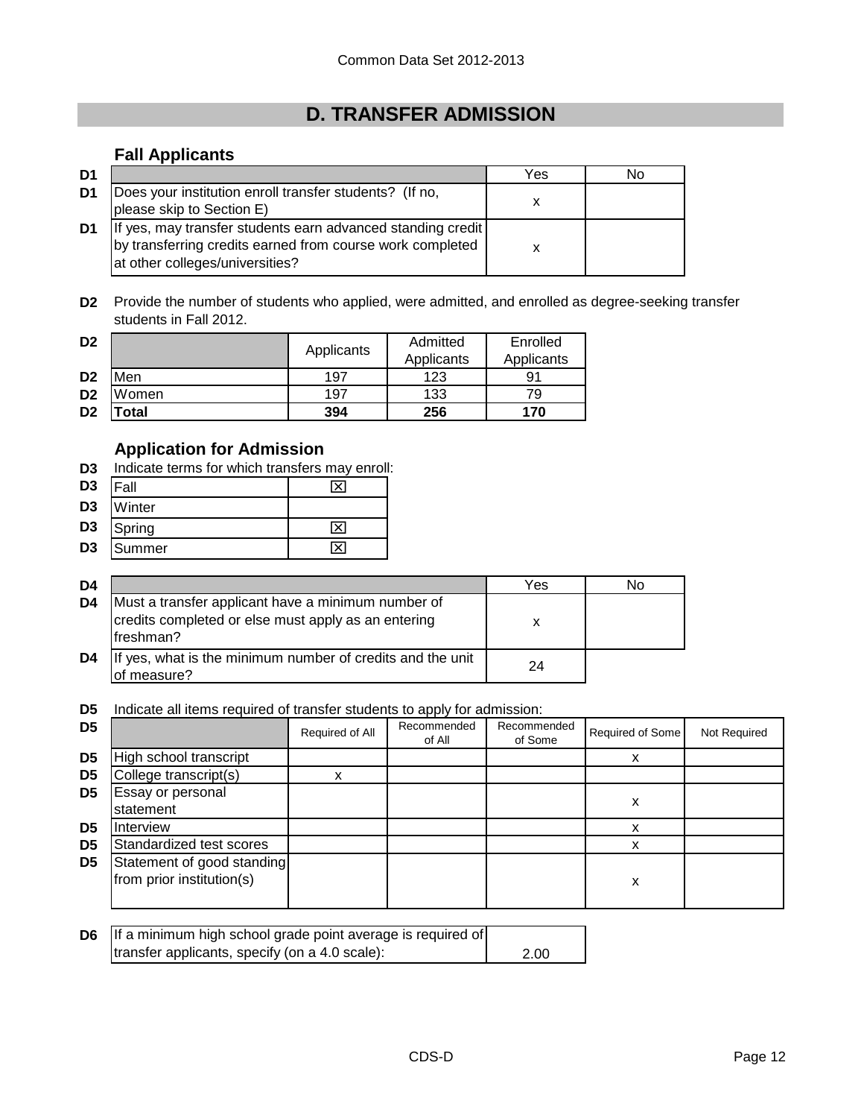# **D. TRANSFER ADMISSION**

# **Fall Applicants**

| D <sub>1</sub> |                                                                                                                                                             | Yes | No |
|----------------|-------------------------------------------------------------------------------------------------------------------------------------------------------------|-----|----|
| D1             | Does your institution enroll transfer students? (If no,<br>please skip to Section E)                                                                        |     |    |
| D1             | If yes, may transfer students earn advanced standing credit<br>by transferring credits earned from course work completed<br>at other colleges/universities? |     |    |

**D2** Provide the number of students who applied, were admitted, and enrolled as degree-seeking transfer students in Fall 2012.

| D <sub>2</sub> |       | Applicants | Admitted   | Enrolled   |
|----------------|-------|------------|------------|------------|
|                |       |            | Applicants | Applicants |
| D <sub>2</sub> | Men   | 197        | 123        | 91         |
| D <sub>2</sub> | Women | 197        | 133        | 79         |
| D <sub>2</sub> | 'otal | 394        | 256        | 170        |

# **Application for Admission**

**D3** Indicate terms for which transfers may enroll:

| D <sub>3</sub> | Fall   | × |
|----------------|--------|---|
| D <sub>3</sub> | Winter |   |
| D <sub>3</sub> | Spring | × |
| D <sub>3</sub> | Summer |   |

| D4 |                                                                                                                         | Yes | N٥ |
|----|-------------------------------------------------------------------------------------------------------------------------|-----|----|
| D4 | Must a transfer applicant have a minimum number of<br>credits completed or else must apply as an entering<br>lfreshman? | x   |    |
| D4 | If yes, what is the minimum number of credits and the unit<br>of measure?                                               | 24  |    |

**D5** Indicate all items required of transfer students to apply for admission:

| D <sub>5</sub> |                                                         | Required of All | Recommended<br>of All | Recommended<br>of Some | Required of Some | Not Required |
|----------------|---------------------------------------------------------|-----------------|-----------------------|------------------------|------------------|--------------|
| D <sub>5</sub> | High school transcript                                  |                 |                       |                        |                  |              |
| D <sub>5</sub> | College transcript(s)                                   |                 |                       |                        |                  |              |
| D <sub>5</sub> | Essay or personal<br>statement                          |                 |                       |                        | х                |              |
| D5             | Interview                                               |                 |                       |                        |                  |              |
| D <sub>5</sub> | Standardized test scores                                |                 |                       |                        |                  |              |
| D <sub>5</sub> | Statement of good standing<br>from prior institution(s) |                 |                       |                        | х                |              |

| <b>D6</b> If a minimum high school grade point average is required of |      |
|-----------------------------------------------------------------------|------|
| transfer applicants, specify (on a 4.0 scale):                        | 2.00 |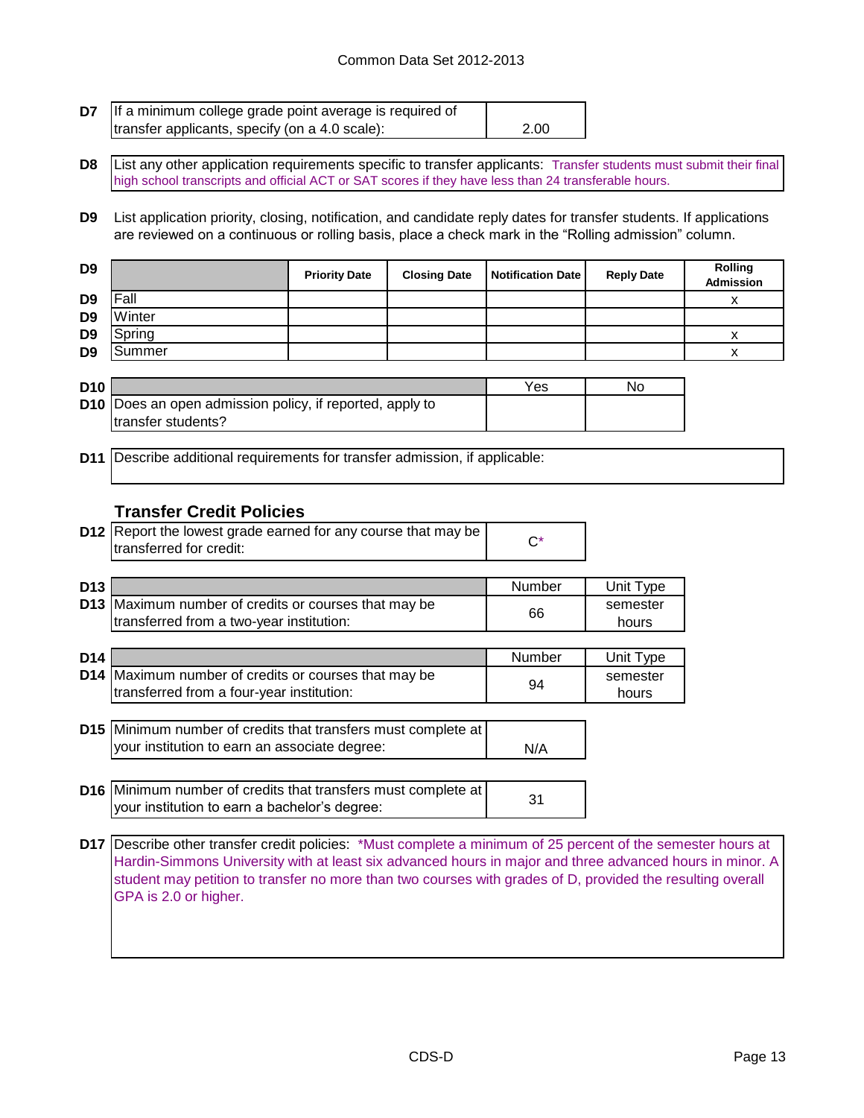#### Common Data Set 2012-2013

| <b>D7</b> If a minimum college grade point average is required of |      |
|-------------------------------------------------------------------|------|
| transfer applicants, specify (on a 4.0 scale):                    | 2.00 |

**D8** List any other application requirements specific to transfer applicants: Transfer students must submit their final high school transcripts and official ACT or SAT scores if they have less than 24 transferable hours.

**D9** List application priority, closing, notification, and candidate reply dates for transfer students. If applications are reviewed on a continuous or rolling basis, place a check mark in the "Rolling admission" column.

| D <sub>9</sub> |        | <b>Priority Date</b> | <b>Closing Date</b> | <b>Notification Date</b> | <b>Reply Date</b> | <b>Rolling</b><br><b>Admission</b> |
|----------------|--------|----------------------|---------------------|--------------------------|-------------------|------------------------------------|
| D <sub>9</sub> | Fall   |                      |                     |                          |                   |                                    |
| D <sub>9</sub> | Winter |                      |                     |                          |                   |                                    |
| D <sub>9</sub> | Spring |                      |                     |                          |                   |                                    |
| D <sub>9</sub> | Summer |                      |                     |                          |                   |                                    |

| <b>D10</b> |                                                                 | Yes | No |
|------------|-----------------------------------------------------------------|-----|----|
|            | <b>D10</b> Does an open admission policy, if reported, apply to |     |    |
|            | Itransfer students?                                             |     |    |

**D11** Describe additional requirements for transfer admission, if applicable:

## **Transfer Credit Policies**

| <b>D12</b> Report the lowest grade earned for any course that may be |  |
|----------------------------------------------------------------------|--|
| transferred for credit:                                              |  |

| D <sub>13</sub> |                                                             | Number | Unit Type |
|-----------------|-------------------------------------------------------------|--------|-----------|
|                 | <b>D13</b> Maximum number of credits or courses that may be | 66     | semester  |
|                 | transferred from a two-year institution:                    |        | hours     |

| D <sub>14</sub> |                                                                                                                       | Number | Unit Type         |
|-----------------|-----------------------------------------------------------------------------------------------------------------------|--------|-------------------|
|                 | D14 Maximum number of credits or courses that may be<br>transferred from a four-year institution:                     | 94     | semester<br>hours |
|                 | <b>D15</b> Minimum number of credits that transfers must complete at<br>your institution to earn an associate degree: | N/A    |                   |

**D16** Minimum number of credits that transfers must complete at <br>We'll consider the care a backelor's degree: your institution to earn a bachelor's degree:

**D17** Describe other transfer credit policies: \*Must complete a minimum of 25 percent of the semester hours at Hardin-Simmons University with at least six advanced hours in major and three advanced hours in minor. A student may petition to transfer no more than two courses with grades of D, provided the resulting overall GPA is 2.0 or higher.

N/A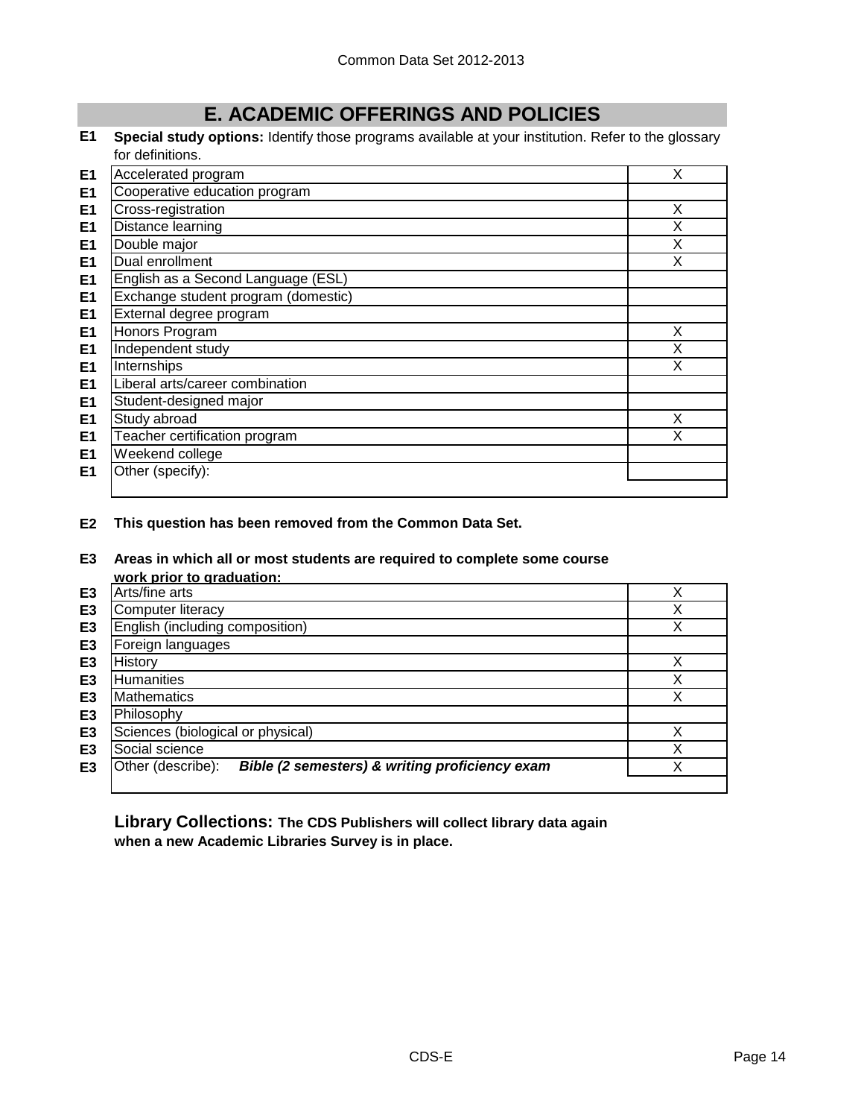# **E. ACADEMIC OFFERINGS AND POLICIES**

**E1 Special study options:** Identify those programs available at your institution. Refer to the glossary for definitions.

| E <sub>1</sub> | Accelerated program                 | X |
|----------------|-------------------------------------|---|
| E <sub>1</sub> | Cooperative education program       |   |
| E <sub>1</sub> | Cross-registration                  | X |
| E <sub>1</sub> | Distance learning                   | X |
| E <sub>1</sub> | Double major                        | X |
| E1             | Dual enrollment                     | x |
| E <sub>1</sub> | English as a Second Language (ESL)  |   |
| E <sub>1</sub> | Exchange student program (domestic) |   |
| E <sub>1</sub> | External degree program             |   |
| E <sub>1</sub> | Honors Program                      | X |
| E <sub>1</sub> | Independent study                   | Χ |
| E <sub>1</sub> | Internships                         | X |
| E <sub>1</sub> | Liberal arts/career combination     |   |
| E <sub>1</sub> | Student-designed major              |   |
| E <sub>1</sub> | Study abroad                        | X |
| E <sub>1</sub> | Teacher certification program       | x |
| E <sub>1</sub> | Weekend college                     |   |
| E <sub>1</sub> | Other (specify):                    |   |
|                |                                     |   |

**E2 This question has been removed from the Common Data Set.**

#### **E3 Areas in which all or most students are required to complete some course work prior to graduation:**

|                | work prior to graduation.                                           |   |
|----------------|---------------------------------------------------------------------|---|
| E <sub>3</sub> | Arts/fine arts                                                      |   |
| E <sub>3</sub> | <b>Computer literacy</b>                                            | ◡ |
| E <sub>3</sub> | English (including composition)                                     | ∨ |
| E <sub>3</sub> | Foreign languages                                                   |   |
| E3             | History                                                             |   |
| E <sub>3</sub> | <b>Humanities</b>                                                   |   |
| E <sub>3</sub> | <b>Mathematics</b>                                                  |   |
| E <sub>3</sub> | Philosophy                                                          |   |
| E <sub>3</sub> | Sciences (biological or physical)                                   |   |
| E3             | Social science                                                      |   |
| E3             | Bible (2 semesters) & writing proficiency exam<br>Other (describe): |   |
|                |                                                                     |   |

**Library Collections: The CDS Publishers will collect library data again when a new Academic Libraries Survey is in place.**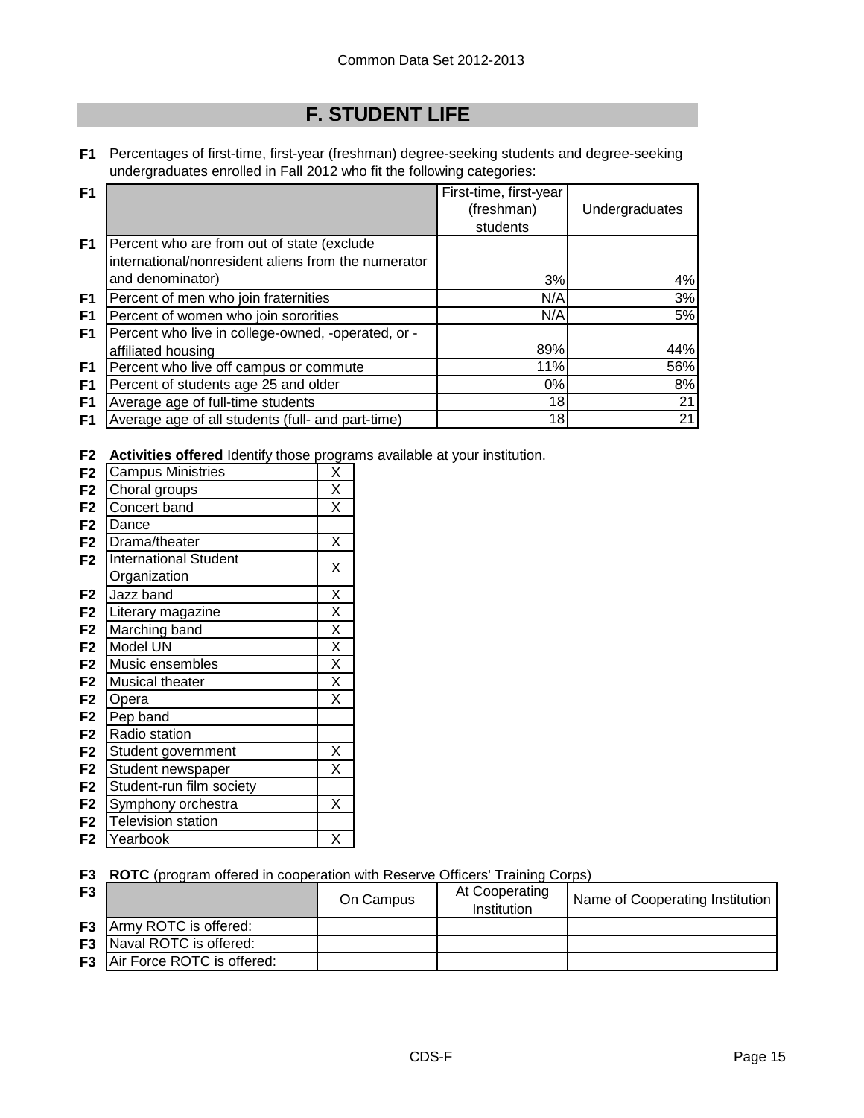# **F. STUDENT LIFE**

**F1** Percentages of first-time, first-year (freshman) degree-seeking students and degree-seeking undergraduates enrolled in Fall 2012 who fit the following categories:

| F <sub>1</sub> |                                                     | First-time, first-year |                |
|----------------|-----------------------------------------------------|------------------------|----------------|
|                |                                                     | (freshman)             | Undergraduates |
|                |                                                     | students               |                |
| F1             | Percent who are from out of state (exclude          |                        |                |
|                | international/nonresident aliens from the numerator |                        |                |
|                | and denominator)                                    | 3%                     | 4%             |
| F1             | Percent of men who join fraternities                | N/A                    | 3%             |
| F1             | Percent of women who join sororities                | N/A                    | 5%             |
| F1             | Percent who live in college-owned, -operated, or -  |                        |                |
|                | affiliated housing                                  | 89%                    | 44%            |
| F1             | Percent who live off campus or commute              | 11%                    | 56%            |
| F1             | Percent of students age 25 and older                | 0%                     | 8%             |
| F <sub>1</sub> | Average age of full-time students                   | 18                     | 21             |
| F1             | Average age of all students (full- and part-time)   | 18                     | 21             |

**F2 Activities offered** Identify those programs available at your institution.

| F <sub>2</sub> | <b>Campus Ministries</b>     | Χ                       |
|----------------|------------------------------|-------------------------|
| F <sub>2</sub> | Choral groups                | $\overline{\mathsf{x}}$ |
| F <sub>2</sub> | Concert band                 | X                       |
| F <sub>2</sub> | Dance                        |                         |
| F <sub>2</sub> | Drama/theater                | X                       |
| F <sub>2</sub> | <b>International Student</b> | Χ                       |
|                | Organization                 |                         |
| F <sub>2</sub> | Jazz band                    | X                       |
| F <sub>2</sub> | Literary magazine            | $\overline{\mathsf{x}}$ |
| F <sub>2</sub> | Marching band                | $\overline{\mathsf{x}}$ |
| F <sub>2</sub> | Model UN                     | $\overline{\mathsf{x}}$ |
| F <sub>2</sub> | Music ensembles              | $\overline{\mathsf{x}}$ |
| F <sub>2</sub> | Musical theater              | $\overline{\mathsf{x}}$ |
| F <sub>2</sub> | Opera                        | $\overline{\mathsf{x}}$ |
| F <sub>2</sub> | Pep band                     |                         |
| F <sub>2</sub> | Radio station                |                         |
| F <sub>2</sub> | Student government           | Χ                       |
| F <sub>2</sub> | Student newspaper            | X                       |
| F <sub>2</sub> | Student-run film society     |                         |
| F <sub>2</sub> | Symphony orchestra           | Χ                       |
| F <sub>2</sub> | <b>Television station</b>    |                         |
| F2             | Yearbook                     | X                       |

## **F3 ROTC** (program offered in cooperation with Reserve Officers' Training Corps)

| F <sub>3</sub> |                                        | On Campus | At Cooperating<br>Institution | Name of Cooperating Institution |
|----------------|----------------------------------------|-----------|-------------------------------|---------------------------------|
|                | <b>F3</b> Army ROTC is offered:        |           |                               |                                 |
|                | <b>F3</b> Naval ROTC is offered:       |           |                               |                                 |
|                | <b>F3</b>   Air Force ROTC is offered: |           |                               |                                 |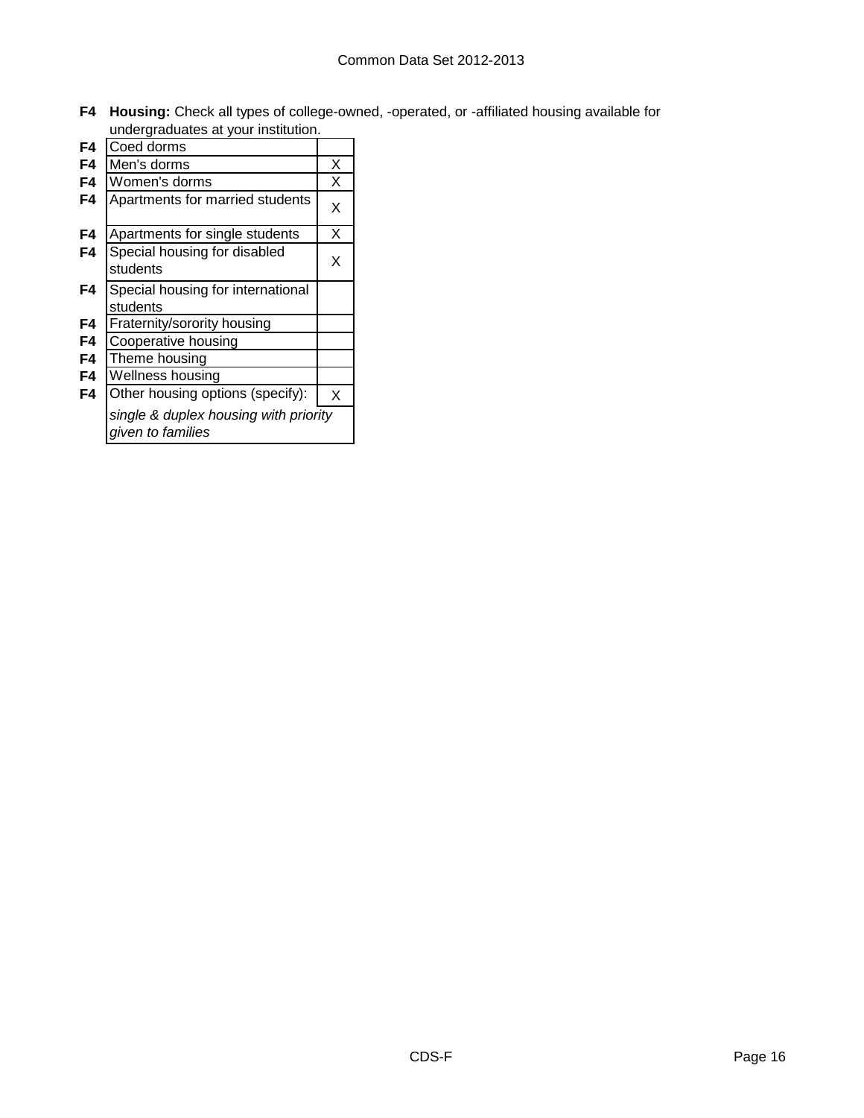**F4 Housing:** Check all types of college-owned, -operated, or -affiliated housing available for undergraduates at your institution.

| F4 | Coed dorms                                                 |   |
|----|------------------------------------------------------------|---|
| F4 | Men's dorms                                                | Х |
| F4 | Women's dorms                                              | Х |
| F4 | Apartments for married students                            | X |
| F4 | Apartments for single students                             | Х |
| F4 | Special housing for disabled<br>students                   | X |
| F4 | Special housing for international<br>students              |   |
| F4 | Fraternity/sorority housing                                |   |
| F4 | Cooperative housing                                        |   |
| F4 | Theme housing                                              |   |
| F4 | Wellness housing                                           |   |
| F4 | Other housing options (specify):                           | X |
|    | single & duplex housing with priority<br>given to families |   |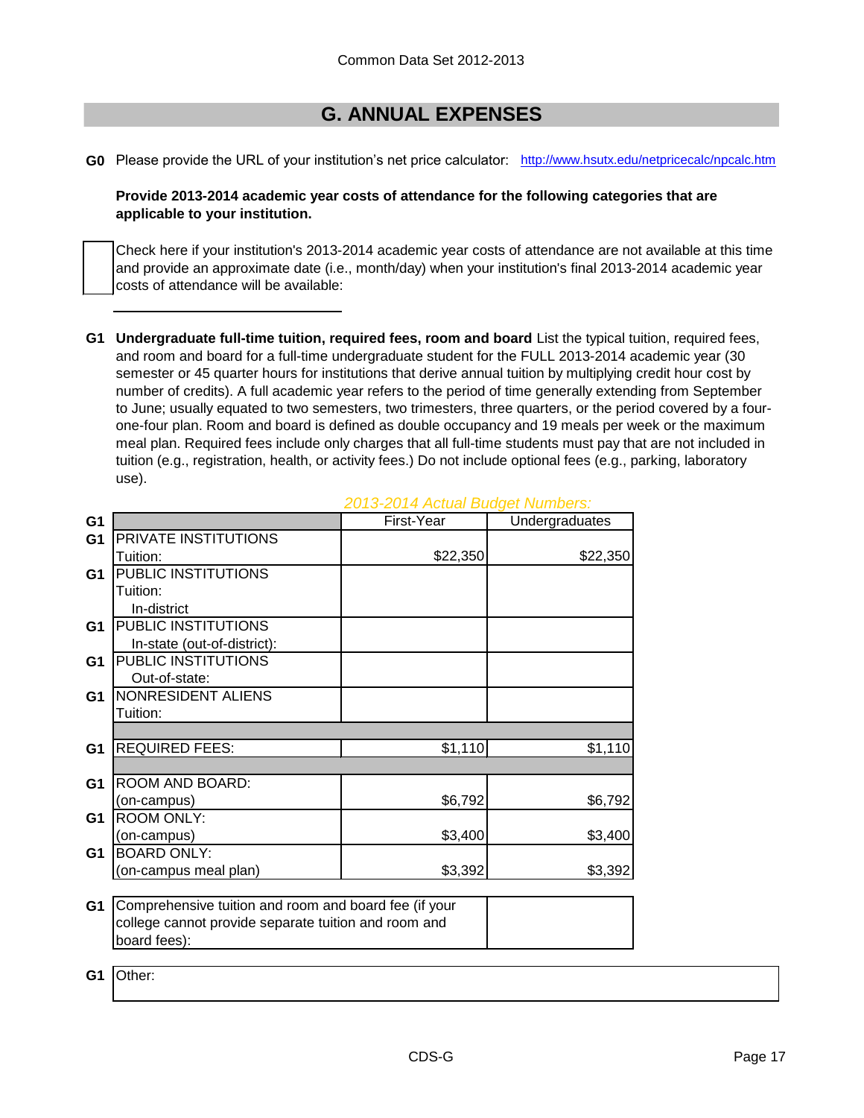# **G. ANNUAL EXPENSES**

**G0** Please provide the URL of your institution's net price calculator: [http://www.hsutx.edu](http://www.hsutx.edu/netpricecalc/npcalc.htm)/netpricecalc/npcalc.htm

## **Provide 2013-2014 academic year costs of attendance for the following categories that are applicable to your institution.**

Check here if your institution's 2013-2014 academic year costs of attendance are not available at this time and provide an approximate date (i.e., month/day) when your institution's final 2013-2014 academic year costs of attendance will be available:

**G1 Undergraduate full-time tuition, required fees, room and board** List the typical tuition, required fees, and room and board for a full-time undergraduate student for the FULL 2013-2014 academic year (30 semester or 45 quarter hours for institutions that derive annual tuition by multiplying credit hour cost by number of credits). A full academic year refers to the period of time generally extending from September to June; usually equated to two semesters, two trimesters, three quarters, or the period covered by a fourone-four plan. Room and board is defined as double occupancy and 19 meals per week or the maximum meal plan. Required fees include only charges that all full-time students must pay that are not included in tuition (e.g., registration, health, or activity fees.) Do not include optional fees (e.g., parking, laboratory use).

| G <sub>1</sub> |                                                       | First-Year | Undergraduates |
|----------------|-------------------------------------------------------|------------|----------------|
| G <sub>1</sub> | PRIVATE INSTITUTIONS                                  |            |                |
|                | Tuition:                                              | \$22,350   | \$22,350       |
| G <sub>1</sub> | PUBLIC INSTITUTIONS                                   |            |                |
|                | Tuition:                                              |            |                |
|                | In-district                                           |            |                |
| G1             | PUBLIC INSTITUTIONS                                   |            |                |
|                | In-state (out-of-district):                           |            |                |
| G <sub>1</sub> | PUBLIC INSTITUTIONS                                   |            |                |
|                | Out-of-state:                                         |            |                |
| G <sub>1</sub> | NONRESIDENT ALIENS                                    |            |                |
|                | Tuition:                                              |            |                |
|                |                                                       |            |                |
| G <sub>1</sub> | <b>REQUIRED FEES:</b>                                 | \$1,110    | \$1,110        |
|                |                                                       |            |                |
| G <sub>1</sub> | ROOM AND BOARD:                                       |            |                |
|                | (on-campus)                                           | \$6,792    | \$6,792        |
| G <sub>1</sub> | <b>ROOM ONLY:</b>                                     |            |                |
|                | (on-campus)                                           | \$3,400    | \$3,400        |
| G <sub>1</sub> | <b>BOARD ONLY:</b>                                    |            |                |
|                | (on-campus meal plan)                                 | \$3,392    | \$3,392        |
|                |                                                       |            |                |
| G <sub>1</sub> | Comprehensive tuition and room and board fee (if your |            |                |
|                | college cannot provide separate tuition and room and  |            |                |
|                | board fees):                                          |            |                |
|                |                                                       |            |                |
| G1             | Other:                                                |            |                |

## *2013-2014 Actual Budget Numbers:*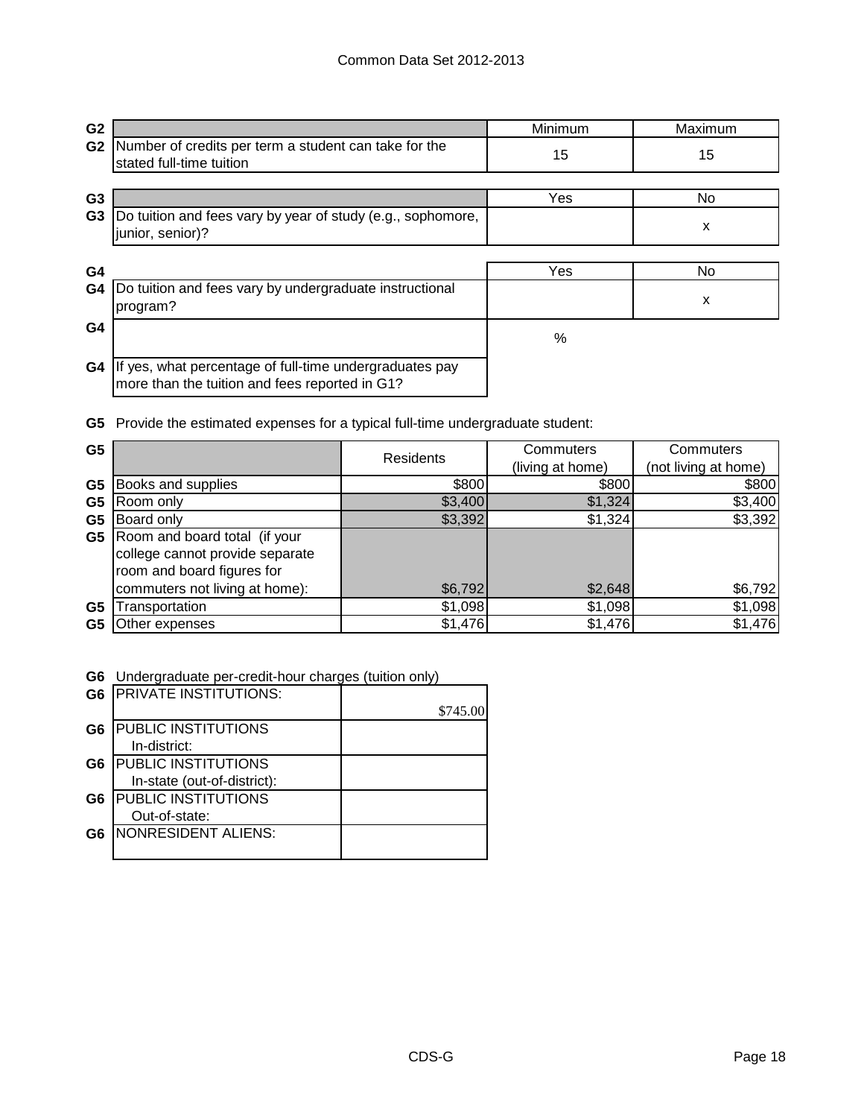| G <sub>2</sub> |                                                                                                           | Minimum | Maximum |
|----------------|-----------------------------------------------------------------------------------------------------------|---------|---------|
| G <sub>2</sub> | Number of credits per term a student can take for the<br>stated full-time tuition                         | 15      | 15      |
| G <sub>3</sub> |                                                                                                           | Yes     | No.     |
| G <sub>3</sub> | Do tuition and fees vary by year of study (e.g., sophomore,<br>junior, senior)?                           |         | х       |
| G4             |                                                                                                           | Yes     | No.     |
| G4             | Do tuition and fees vary by undergraduate instructional<br>program?                                       |         | X       |
| G4             |                                                                                                           | %       |         |
| G4             | If yes, what percentage of full-time undergraduates pay<br>more than the tuition and fees reported in G1? |         |         |

**G5** Provide the estimated expenses for a typical full-time undergraduate student:

| G <sub>5</sub> |                                 | <b>Residents</b> | Commuters        | Commuters            |
|----------------|---------------------------------|------------------|------------------|----------------------|
|                |                                 |                  | (living at home) | (not living at home) |
| G <sub>5</sub> | Books and supplies              | \$800            | \$800            | \$800                |
| G <sub>5</sub> | Room only                       | \$3,400          | \$1,324          | \$3,400              |
| G5             | Board only                      | \$3,392          | \$1,324          | \$3,392              |
| G5             | Room and board total (if your   |                  |                  |                      |
|                | college cannot provide separate |                  |                  |                      |
|                | room and board figures for      |                  |                  |                      |
|                | commuters not living at home):  | \$6,792          | \$2,648          | \$6,792              |
| G <sub>5</sub> | Transportation                  | \$1,098          | \$1,098          | \$1,098              |
| G5             | Other expenses                  | \$1,476          | \$1,476          | \$1,476              |

## **G6** Undergraduate per-credit-hour charges (tuition only)

| G6             | <b>PRIVATE INSTITUTIONS:</b> |          |
|----------------|------------------------------|----------|
|                |                              | \$745.00 |
| G6             | <b>PUBLIC INSTITUTIONS</b>   |          |
|                | In-district:                 |          |
| G <sub>6</sub> | <b>PUBLIC INSTITUTIONS</b>   |          |
|                | In-state (out-of-district):  |          |
| G6             | <b>PUBLIC INSTITUTIONS</b>   |          |
|                | Out-of-state:                |          |
| G6             | NONRESIDENT ALIENS:          |          |
|                |                              |          |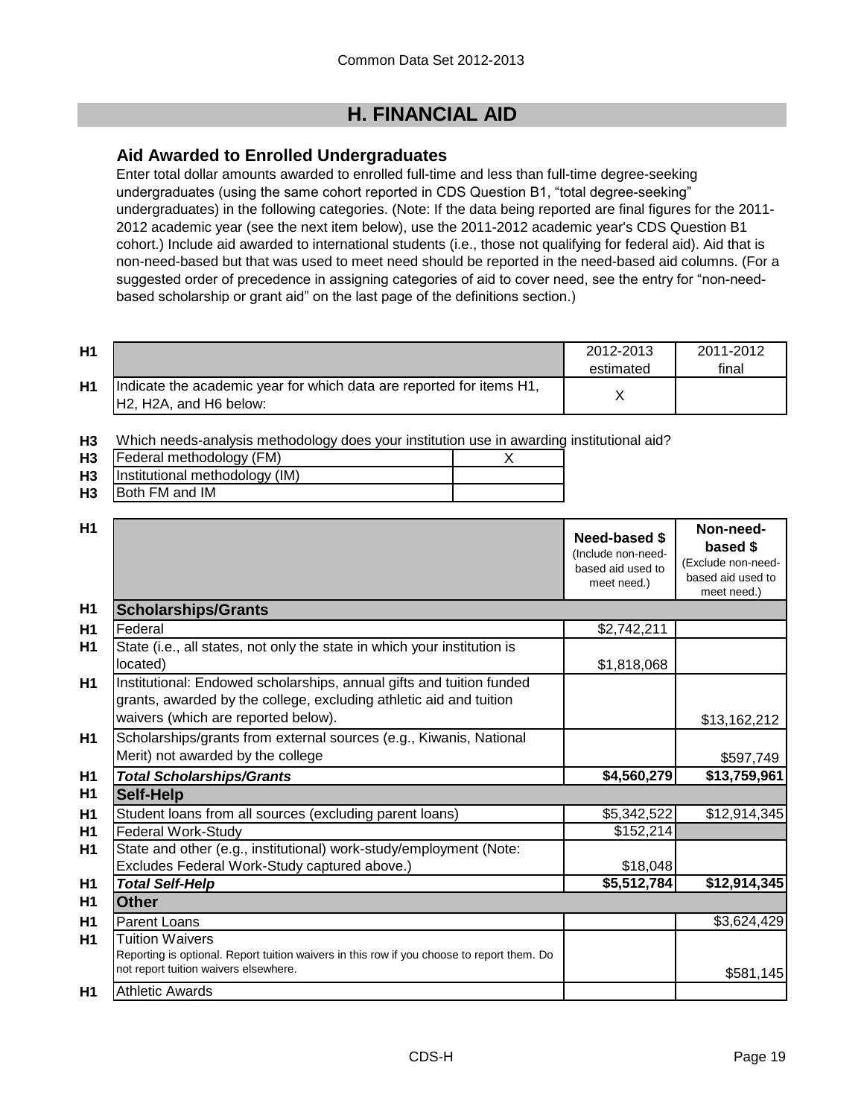# **H. FINANCIAL AID**

# **Aid Awarded to Enrolled Undergraduates**

Enter total dollar amounts awarded to enrolled full-time and less than full-time degree-seeking undergraduates (using the same cohort reported in CDS Question B1, "total degree-seeking" undergraduates) in the following categories. (Note: If the data being reported are final figures for the 2011- 2012 academic year (see the next item below), use the 2011-2012 academic year's CDS Question B1 cohort.) Include aid awarded to international students (i.e., those not qualifying for federal aid). Aid that is non-need-based but that was used to meet need should be reported in the need-based aid columns. (For a suggested order of precedence in assigning categories of aid to cover need, see the entry for "non-needbased scholarship or grant aid" on the last page of the definitions section.)

| H1             |                                                                                                 | 2012-2013<br>estimated | 2011-2012<br>final |
|----------------|-------------------------------------------------------------------------------------------------|------------------------|--------------------|
| H <sub>1</sub> | Indicate the academic year for which data are reported for items H1,<br>IH2. H2A, and H6 below: |                        |                    |

**H3** Which needs-analysis methodology does your institution use in awarding institutional aid?

| H <sub>3</sub> | Federal methodology (FM)       |  |
|----------------|--------------------------------|--|
| H <sub>3</sub> | Institutional methodology (IM) |  |
| H <sub>3</sub> | Both FM and IM                 |  |

| H1             |                                                                                                                                                                                   | Need-based \$<br>(Include non-need-<br>based aid used to<br>meet need.) | Non-need-<br>based \$<br>(Exclude non-need-<br>based aid used to<br>meet need.) |
|----------------|-----------------------------------------------------------------------------------------------------------------------------------------------------------------------------------|-------------------------------------------------------------------------|---------------------------------------------------------------------------------|
| H1             | <b>Scholarships/Grants</b>                                                                                                                                                        |                                                                         |                                                                                 |
| H1             | Federal                                                                                                                                                                           | \$2,742,211                                                             |                                                                                 |
| H1             | State (i.e., all states, not only the state in which your institution is<br>located)                                                                                              | \$1,818,068                                                             |                                                                                 |
| H1             | Institutional: Endowed scholarships, annual gifts and tuition funded<br>grants, awarded by the college, excluding athletic aid and tuition<br>waivers (which are reported below). |                                                                         | \$13,162,212                                                                    |
| <b>H1</b>      | Scholarships/grants from external sources (e.g., Kiwanis, National<br>Merit) not awarded by the college                                                                           |                                                                         | \$597,749                                                                       |
| H1             | <b>Total Scholarships/Grants</b>                                                                                                                                                  | \$4,560,279                                                             | \$13,759,961                                                                    |
| H <sub>1</sub> | <b>Self-Help</b>                                                                                                                                                                  |                                                                         |                                                                                 |
| H1             | Student loans from all sources (excluding parent loans)                                                                                                                           | \$5,342,522                                                             | \$12,914,345                                                                    |
| H1             | <b>Federal Work-Study</b>                                                                                                                                                         | \$152,214                                                               |                                                                                 |
| H1             | State and other (e.g., institutional) work-study/employment (Note:                                                                                                                |                                                                         |                                                                                 |
|                | Excludes Federal Work-Study captured above.)                                                                                                                                      | \$18,048                                                                |                                                                                 |
| H1             | <b>Total Self-Help</b>                                                                                                                                                            | \$5,512,784                                                             | \$12,914,345                                                                    |
| H1             | <b>Other</b>                                                                                                                                                                      |                                                                         |                                                                                 |
| H1             | Parent Loans                                                                                                                                                                      |                                                                         | \$3,624,429                                                                     |
| H1             | <b>Tuition Waivers</b><br>Reporting is optional. Report tuition waivers in this row if you choose to report them. Do<br>not report tuition waivers elsewhere.                     |                                                                         | \$581,145                                                                       |
| H1             | <b>Athletic Awards</b>                                                                                                                                                            |                                                                         |                                                                                 |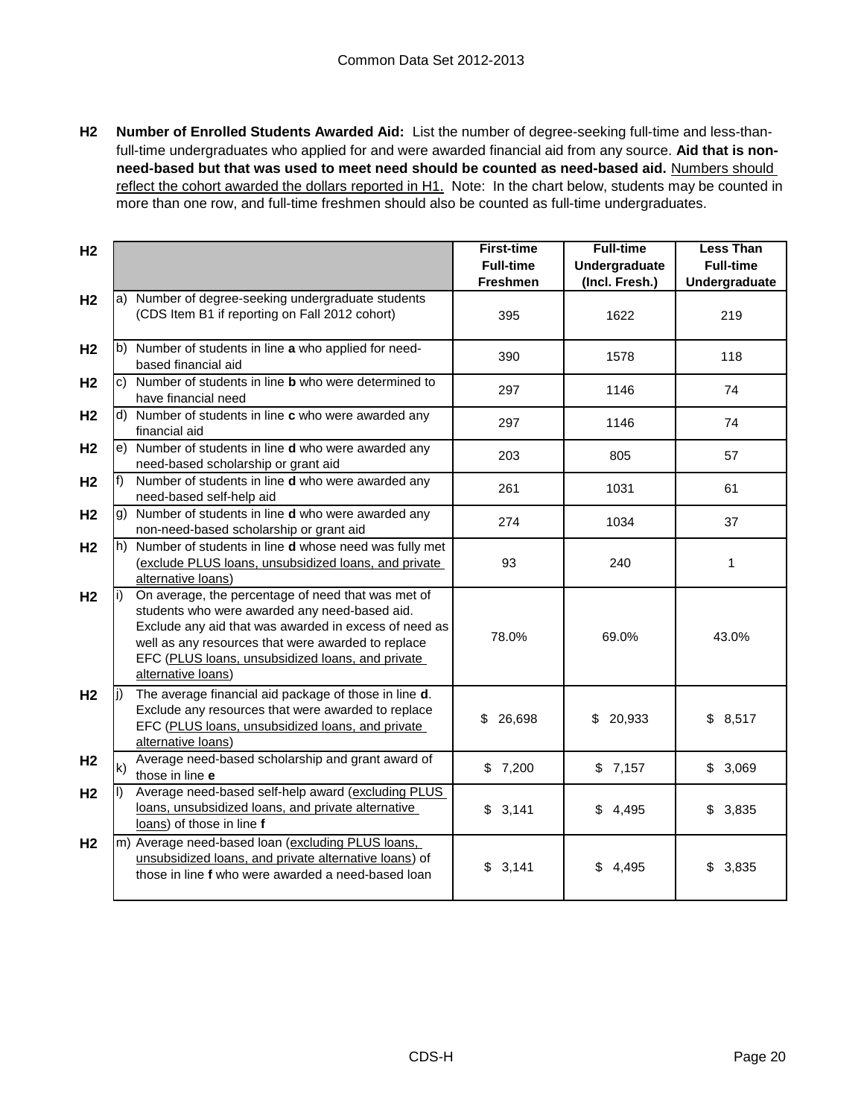**H2 Number of Enrolled Students Awarded Aid:** List the number of degree-seeking full-time and less-thanfull-time undergraduates who applied for and were awarded financial aid from any source. **Aid that is nonneed-based but that was used to meet need should be counted as need-based aid.** Numbers should reflect the cohort awarded the dollars reported in H1. Note: In the chart below, students may be counted in more than one row, and full-time freshmen should also be counted as full-time undergraduates.

| H <sub>2</sub> |              |                                                                                                                                                                                                                                                                                              | <b>First-time</b><br><b>Full-time</b><br><b>Freshmen</b> | <b>Full-time</b><br><b>Undergraduate</b><br>(Incl. Fresh.) | <b>Less Than</b><br><b>Full-time</b><br>Undergraduate |
|----------------|--------------|----------------------------------------------------------------------------------------------------------------------------------------------------------------------------------------------------------------------------------------------------------------------------------------------|----------------------------------------------------------|------------------------------------------------------------|-------------------------------------------------------|
| H <sub>2</sub> |              | a) Number of degree-seeking undergraduate students<br>(CDS Item B1 if reporting on Fall 2012 cohort)                                                                                                                                                                                         | 395                                                      | 1622                                                       | 219                                                   |
| H <sub>2</sub> |              | b) Number of students in line a who applied for need-<br>based financial aid                                                                                                                                                                                                                 | 390                                                      | 1578                                                       | 118                                                   |
| H <sub>2</sub> |              | c) Number of students in line <b>b</b> who were determined to<br>have financial need                                                                                                                                                                                                         | 297                                                      | 1146                                                       | 74                                                    |
| H <sub>2</sub> |              | d) Number of students in line c who were awarded any<br>financial aid                                                                                                                                                                                                                        | 297                                                      | 1146                                                       | 74                                                    |
| H <sub>2</sub> |              | e) Number of students in line d who were awarded any<br>need-based scholarship or grant aid                                                                                                                                                                                                  | 203                                                      | 805                                                        | 57                                                    |
| H <sub>2</sub> | f            | Number of students in line d who were awarded any<br>need-based self-help aid                                                                                                                                                                                                                | 261                                                      | 1031                                                       | 61                                                    |
| H <sub>2</sub> |              | g) Number of students in line d who were awarded any<br>non-need-based scholarship or grant aid                                                                                                                                                                                              | 274                                                      | 1034                                                       | 37                                                    |
| H <sub>2</sub> |              | h) Number of students in line <b>d</b> whose need was fully met<br>(exclude PLUS loans, unsubsidized loans, and private<br>alternative loans)                                                                                                                                                | 93                                                       | 240                                                        | 1                                                     |
| H <sub>2</sub> |              | On average, the percentage of need that was met of<br>students who were awarded any need-based aid.<br>Exclude any aid that was awarded in excess of need as<br>well as any resources that were awarded to replace<br>EFC (PLUS loans, unsubsidized loans, and private<br>alternative loans) | 78.0%                                                    | 69.0%                                                      | 43.0%                                                 |
| H <sub>2</sub> | li)          | The average financial aid package of those in line d.<br>Exclude any resources that were awarded to replace<br>EFC (PLUS loans, unsubsidized loans, and private<br>alternative loans)                                                                                                        | 26,698<br>\$                                             | \$<br>20,933                                               | \$8,517                                               |
| H <sub>2</sub> | $\mathsf{k}$ | Average need-based scholarship and grant award of<br>those in line e                                                                                                                                                                                                                         | \$7,200                                                  | \$7,157                                                    | \$3,069                                               |
| H <sub>2</sub> |              | Average need-based self-help award (excluding PLUS<br>loans, unsubsidized loans, and private alternative<br>loans) of those in line f                                                                                                                                                        | \$3,141                                                  | \$4,495                                                    | \$3,835                                               |
| H <sub>2</sub> |              | m) Average need-based loan (excluding PLUS loans,<br>unsubsidized loans, and private alternative loans) of<br>those in line f who were awarded a need-based loan                                                                                                                             | \$3,141                                                  | \$4,495                                                    | \$3,835                                               |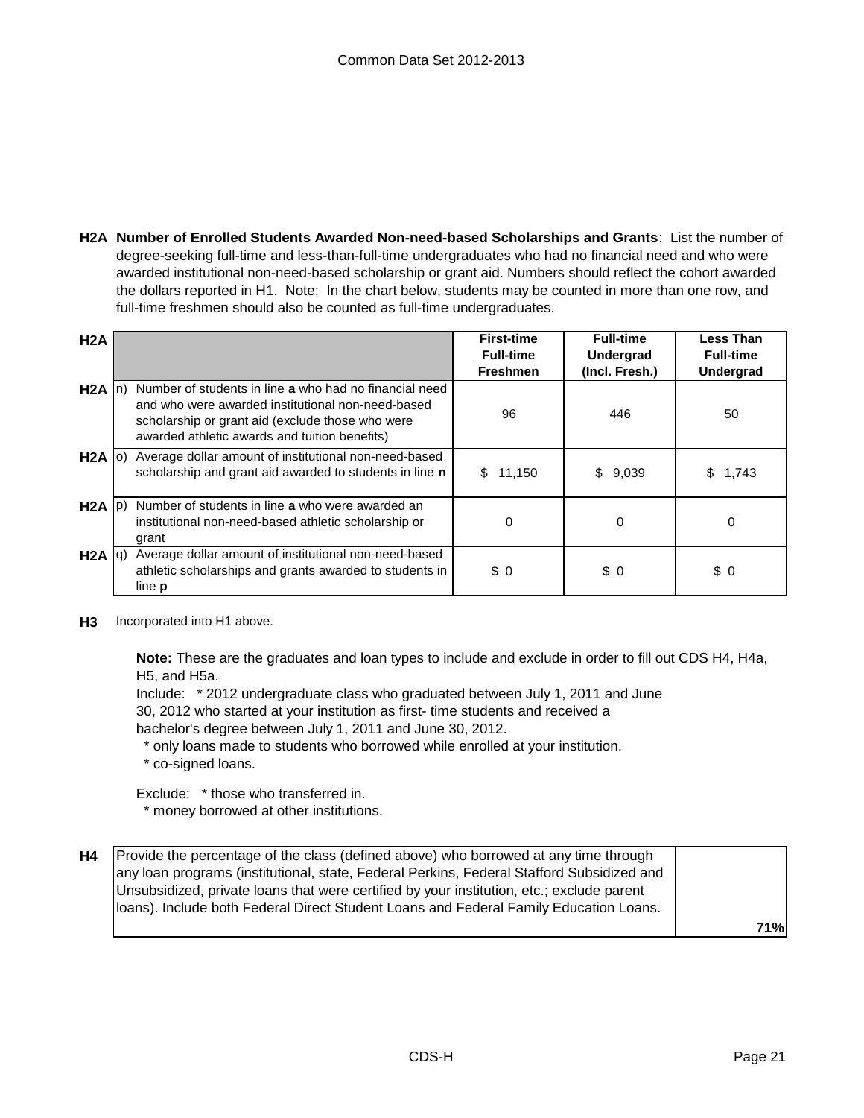**H2A Number of Enrolled Students Awarded Non-need-based Scholarships and Grants**: List the number of degree-seeking full-time and less-than-full-time undergraduates who had no financial need and who were awarded institutional non-need-based scholarship or grant aid. Numbers should reflect the cohort awarded the dollars reported in H1. Note: In the chart below, students may be counted in more than one row, and full-time freshmen should also be counted as full-time undergraduates.

| H2A               |     |                                                                                                                                                                                                                  | <b>First-time</b><br><b>Full-time</b><br><b>Freshmen</b> | <b>Full-time</b><br>Undergrad<br>(Incl. Fresh.) | <b>Less Than</b><br><b>Full-time</b><br><b>Undergrad</b> |
|-------------------|-----|------------------------------------------------------------------------------------------------------------------------------------------------------------------------------------------------------------------|----------------------------------------------------------|-------------------------------------------------|----------------------------------------------------------|
| H2A               | In) | Number of students in line a who had no financial need<br>and who were awarded institutional non-need-based<br>scholarship or grant aid (exclude those who were<br>awarded athletic awards and tuition benefits) | 96                                                       | 446                                             | 50                                                       |
|                   |     | H2A (o) Average dollar amount of institutional non-need-based<br>scholarship and grant aid awarded to students in line n                                                                                         | 11,150<br>S.                                             | \$<br>9,039                                     | S<br>1,743                                               |
| $H2A$ $ p\rangle$ |     | Number of students in line a who were awarded an<br>institutional non-need-based athletic scholarship or<br>grant                                                                                                | 0                                                        | 0                                               | 0                                                        |
| $H2A  q\rangle$   |     | Average dollar amount of institutional non-need-based<br>athletic scholarships and grants awarded to students in<br>line <b>p</b>                                                                                | \$0                                                      | \$0                                             | \$0                                                      |

**H3** Incorporated into H1 above.

**Note:** These are the graduates and loan types to include and exclude in order to fill out CDS H4, H4a, H5, and H5a.

Include: \* 2012 undergraduate class who graduated between July 1, 2011 and June

30, 2012 who started at your institution as first- time students and received a

bachelor's degree between July 1, 2011 and June 30, 2012.

\* only loans made to students who borrowed while enrolled at your institution.

\* co-signed loans.

Exclude: \* those who transferred in.

\* money borrowed at other institutions.

| H4 | Provide the percentage of the class (defined above) who borrowed at any time through<br>any loan programs (institutional, state, Federal Perkins, Federal Stafford Subsidized and<br>Unsubsidized, private loans that were certified by your institution, etc.; exclude parent<br>Iloans). Include both Federal Direct Student Loans and Federal Family Education Loans. |            |
|----|--------------------------------------------------------------------------------------------------------------------------------------------------------------------------------------------------------------------------------------------------------------------------------------------------------------------------------------------------------------------------|------------|
|    |                                                                                                                                                                                                                                                                                                                                                                          | <b>71%</b> |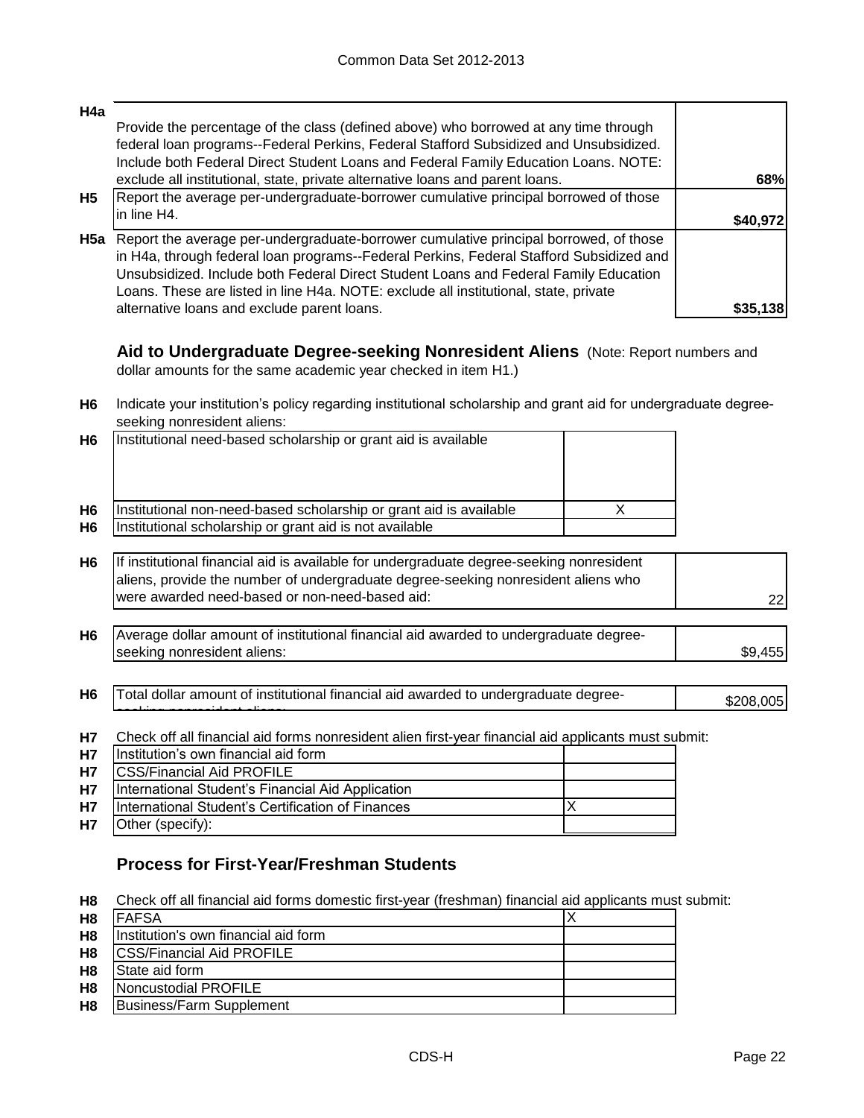| H4a       |                                                                                                                                                                                                                                                                                                                                                                             |            |
|-----------|-----------------------------------------------------------------------------------------------------------------------------------------------------------------------------------------------------------------------------------------------------------------------------------------------------------------------------------------------------------------------------|------------|
|           | Provide the percentage of the class (defined above) who borrowed at any time through<br>federal loan programs--Federal Perkins, Federal Stafford Subsidized and Unsubsidized.                                                                                                                                                                                               |            |
|           | Include both Federal Direct Student Loans and Federal Family Education Loans. NOTE:                                                                                                                                                                                                                                                                                         |            |
|           | exclude all institutional, state, private alternative loans and parent loans.                                                                                                                                                                                                                                                                                               | <b>68%</b> |
| <b>H5</b> | Report the average per-undergraduate-borrower cumulative principal borrowed of those                                                                                                                                                                                                                                                                                        |            |
|           | in line H4.                                                                                                                                                                                                                                                                                                                                                                 | \$40.97    |
|           | <b>H5a</b> Report the average per-undergraduate-borrower cumulative principal borrowed, of those<br>in H4a, through federal loan programs--Federal Perkins, Federal Stafford Subsidized and<br>Unsubsidized. Include both Federal Direct Student Loans and Federal Family Education<br>Loans. These are listed in line H4a. NOTE: exclude all institutional, state, private |            |
|           | alternative loans and exclude parent loans.                                                                                                                                                                                                                                                                                                                                 | \$35.138   |

**Aid to Undergraduate Degree-seeking Nonresident Aliens** (Note: Report numbers and dollar amounts for the same academic year checked in item H1.)

**H6** Indicate your institution's policy regarding institutional scholarship and grant aid for undergraduate degreeseeking nonresident aliens:

| H <sub>6</sub> | Institutional need-based scholarship or grant aid is available                                                                                                                |  |
|----------------|-------------------------------------------------------------------------------------------------------------------------------------------------------------------------------|--|
| H <sub>6</sub> | Institutional non-need-based scholarship or grant aid is available                                                                                                            |  |
| H <sub>6</sub> | Institutional scholarship or grant aid is not available                                                                                                                       |  |
|                |                                                                                                                                                                               |  |
| H <sub>6</sub> | If institutional financial aid is available for undergraduate degree-seeking nonresident<br>aliens, provide the number of undergraduate degree-seeking nonresident aliens who |  |

| aliens, provide the number of undergraduate degree-seeking nonresident aliens who |     |
|-----------------------------------------------------------------------------------|-----|
| Iwere awarded need-based or non-need-based aid:                                   | 22I |

- **H6** \$9,455 Average dollar amount of institutional financial aid awarded to undergraduate degreeseeking nonresident aliens:
- H6 Total dollar amount of institutional financial aid awarded to undergraduate degree-<br>
\$208,005 seeking nonresident aliens:
- **H7** Check off all financial aid forms nonresident alien first-year financial aid applicants must submit:

| <b>H7</b> | Institution's own financial aid form              |  |
|-----------|---------------------------------------------------|--|
| <b>H7</b> | <b>CSS/Financial Aid PROFILE</b>                  |  |
| <b>H7</b> | International Student's Financial Aid Application |  |
| <b>H7</b> | International Student's Certification of Finances |  |
| <b>H7</b> | Other (specify):                                  |  |

# **Process for First-Year/Freshman Students**

**H8** Check off all financial aid forms domestic first-year (freshman) financial aid applicants must submit:

| H <sub>8</sub> | IFAFSA                                |  |
|----------------|---------------------------------------|--|
| H <sub>8</sub> | Ilnstitution's own financial aid form |  |
| H <sub>8</sub> | <b>ICSS/Financial Aid PROFILE</b>     |  |
| H <sub>8</sub> | <b>State aid form</b>                 |  |
| H <sub>8</sub> | Noncustodial PROFILE                  |  |
| H <sub>8</sub> | Business/Farm Supplement              |  |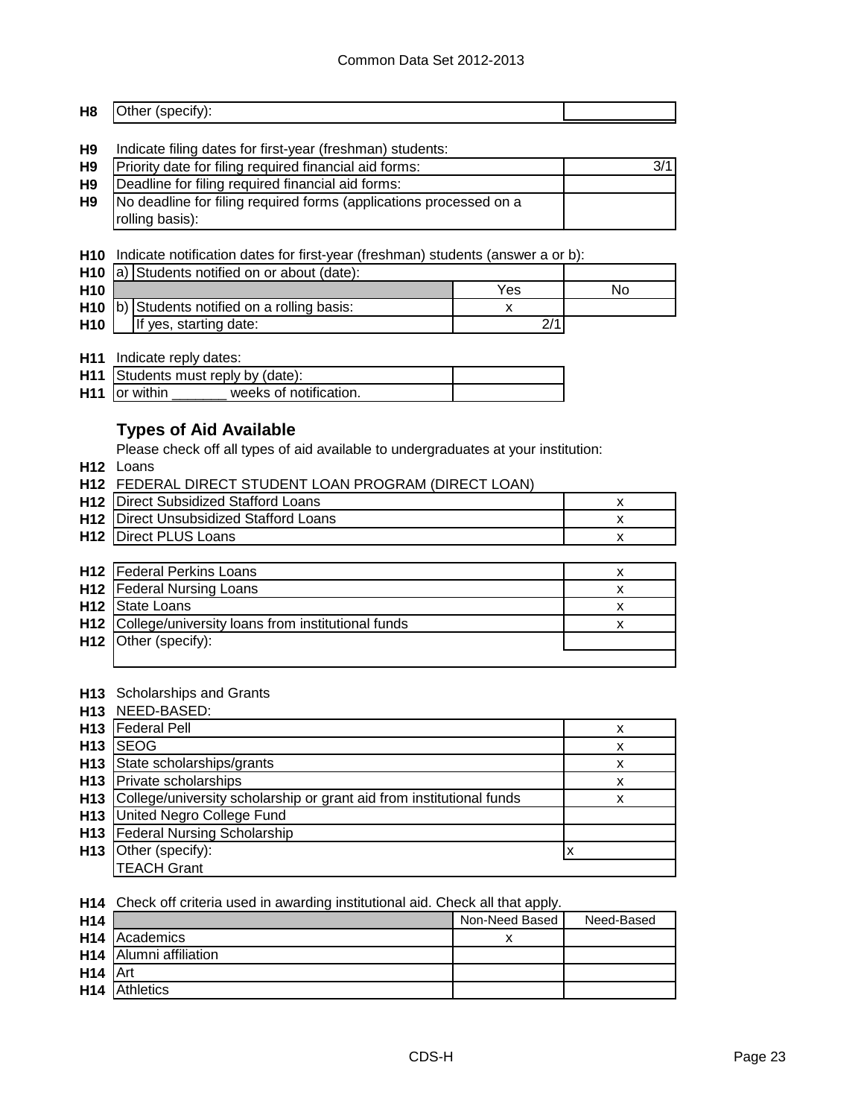#### **H8** Other (specify):

#### **H9** Indicate filing dates for first-year (freshman) students:

| <b>H9</b> | Priority date for filing required financial aid forms:             | 3/1 |
|-----------|--------------------------------------------------------------------|-----|
| H9        | Deadline for filing required financial aid forms:                  |     |
| H9        | No deadline for filing required forms (applications processed on a |     |
|           | rolling basis):                                                    |     |

#### **H10** Indicate notification dates for first-year (freshman) students (answer a or b):

|                 | <b>H10</b> $ a\rangle$ Students notified on or about (date): |  |    |
|-----------------|--------------------------------------------------------------|--|----|
| H <sub>10</sub> | Yes                                                          |  | No |
|                 | H <sub>10</sub> b) Students notified on a rolling basis:     |  |    |
| H <sub>10</sub> | If yes, starting date:                                       |  |    |

### **H11** Indicate reply dates:

|  |                           | H11 Students must reply by (date): |  |
|--|---------------------------|------------------------------------|--|
|  | H <sub>11</sub> or within | weeks of notification.             |  |

# **Types of Aid Available**

Please check off all types of aid available to undergraduates at your institution:

**H12** Loans

|  | H12 FEDERAL DIRECT STUDENT LOAN PROGRAM (DIRECT LOAN) |  |
|--|-------------------------------------------------------|--|
|--|-------------------------------------------------------|--|

| <b>H12</b> Direct Subsidized Stafford Loans   |  |
|-----------------------------------------------|--|
| <b>H12</b> Direct Unsubsidized Stafford Loans |  |
| <b>H12</b> Direct PLUS Loans                  |  |
|                                               |  |

| <b>H12</b> Federal Perkins Loans                      |  |
|-------------------------------------------------------|--|
| <b>H12</b>   Federal Nursing Loans                    |  |
| H <sub>12</sub> State Loans                           |  |
| H12 College/university loans from institutional funds |  |
| H12 Other (specify):                                  |  |
|                                                       |  |

#### **H13** Scholarships and Grants

|                 | H13 NEED-BASED:                                                      |   |
|-----------------|----------------------------------------------------------------------|---|
| H <sub>13</sub> | <b>Federal Pell</b>                                                  | x |
| H <sub>13</sub> | <b>SEOG</b>                                                          | x |
| H <sub>13</sub> | State scholarships/grants                                            | x |
|                 | H13 Private scholarships                                             | x |
| H13             | College/university scholarship or grant aid from institutional funds | x |
| H13             | United Negro College Fund                                            |   |
| H13             | <b>Federal Nursing Scholarship</b>                                   |   |
| H <sub>13</sub> | Other (specify):                                                     |   |
|                 | <b>TEACH Grant</b>                                                   |   |

**H14** Check off criteria used in awarding institutional aid. Check all that apply.

|                                    | Non-Need Based | Need-Based |
|------------------------------------|----------------|------------|
| <b>H14</b> Academics               |                |            |
| H <sub>14</sub> Alumni affiliation |                |            |
| $H14$ Art                          |                |            |
| H <sub>14</sub> Athletics          |                |            |
|                                    |                |            |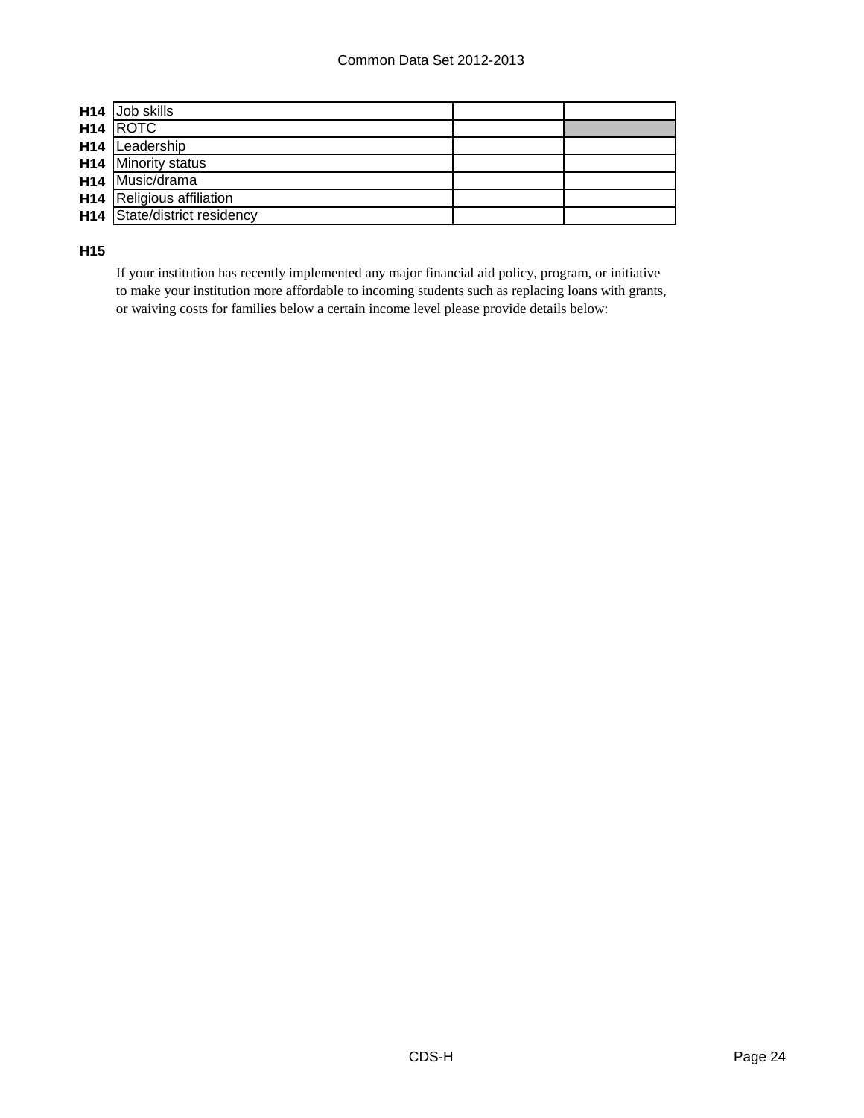| H <sub>14</sub> Job skills          |  |
|-------------------------------------|--|
| H <sub>14</sub> ROTC                |  |
| H <sub>14</sub> Leadership          |  |
| H <sub>14</sub> Minority status     |  |
| H <sub>14</sub> Music/drama         |  |
| <b>H14</b> Religious affiliation    |  |
| <b>H14</b> State/district residency |  |

**H15**

If your institution has recently implemented any major financial aid policy, program, or initiative to make your institution more affordable to incoming students such as replacing loans with grants, or waiving costs for families below a certain income level please provide details below: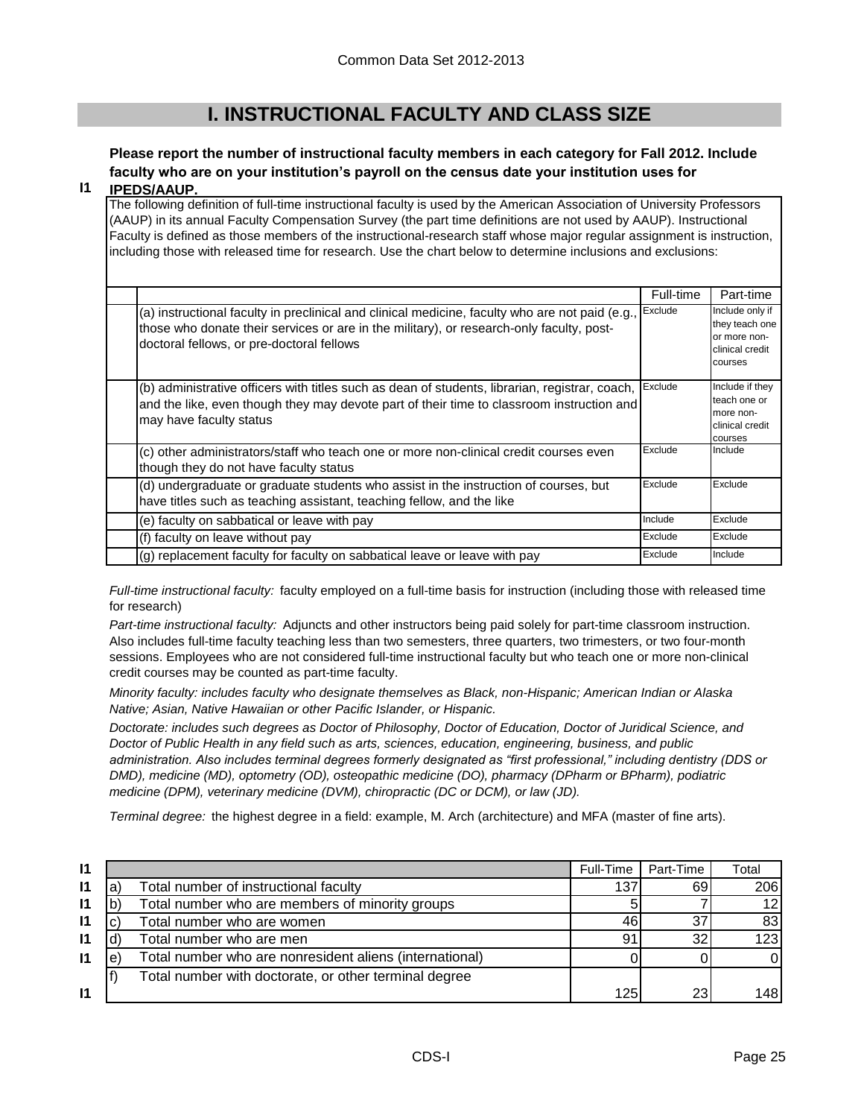# **I. INSTRUCTIONAL FACULTY AND CLASS SIZE**

# **Please report the number of instructional faculty members in each category for Fall 2012. Include faculty who are on your institution's payroll on the census date your institution uses for**

#### **I1 IPEDS/AAUP.**

The following definition of full-time instructional faculty is used by the American Association of University Professors (AAUP) in its annual Faculty Compensation Survey (the part time definitions are not used by AAUP). Instructional Faculty is defined as those members of the instructional-research staff whose major regular assignment is instruction, including those with released time for research. Use the chart below to determine inclusions and exclusions:

|                                                                                                                                                                                                                                          | Full-time | Part-time                                                                       |
|------------------------------------------------------------------------------------------------------------------------------------------------------------------------------------------------------------------------------------------|-----------|---------------------------------------------------------------------------------|
| (a) instructional faculty in preclinical and clinical medicine, faculty who are not paid (e.g.,<br>those who donate their services or are in the military), or research-only faculty, post-<br>doctoral fellows, or pre-doctoral fellows | Exclude   | Include only if<br>they teach one<br>or more non-<br>clinical credit<br>courses |
| (b) administrative officers with titles such as dean of students, librarian, registrar, coach,<br>and the like, even though they may devote part of their time to classroom instruction and<br>may have faculty status                   | Exclude   | Include if they<br>teach one or<br>more non-<br>clinical credit<br>courses      |
| (c) other administrators/staff who teach one or more non-clinical credit courses even<br>though they do not have faculty status                                                                                                          | Exclude   | Include                                                                         |
| (d) undergraduate or graduate students who assist in the instruction of courses, but<br>have titles such as teaching assistant, teaching fellow, and the like                                                                            | Exclude   | Exclude                                                                         |
| (e) faculty on sabbatical or leave with pay                                                                                                                                                                                              | Include   | Exclude                                                                         |
| (f) faculty on leave without pay                                                                                                                                                                                                         | Exclude   | Exclude                                                                         |
| (g) replacement faculty for faculty on sabbatical leave or leave with pay                                                                                                                                                                | Exclude   | Include                                                                         |

*Full-time instructional faculty:* faculty employed on a full-time basis for instruction (including those with released time for research)

*Part-time instructional faculty:* Adjuncts and other instructors being paid solely for part-time classroom instruction. Also includes full-time faculty teaching less than two semesters, three quarters, two trimesters, or two four-month sessions. Employees who are not considered full-time instructional faculty but who teach one or more non-clinical credit courses may be counted as part-time faculty.

*Minority faculty: includes faculty who designate themselves as Black, non-Hispanic; American Indian or Alaska Native; Asian, Native Hawaiian or other Pacific Islander, or Hispanic.* 

*Doctorate: includes such degrees as Doctor of Philosophy, Doctor of Education, Doctor of Juridical Science, and Doctor of Public Health in any field such as arts, sciences, education, engineering, business, and public administration. Also includes terminal degrees formerly designated as "first professional," including dentistry (DDS or DMD), medicine (MD), optometry (OD), osteopathic medicine (DO), pharmacy (DPharm or BPharm), podiatric medicine (DPM), veterinary medicine (DVM), chiropractic (DC or DCM), or law (JD).*

*Terminal degree:* the highest degree in a field: example, M. Arch (architecture) and MFA (master of fine arts).

| $\mathsf{I}$ |   |                                                         | Full-Time | Part-Time | Total           |
|--------------|---|---------------------------------------------------------|-----------|-----------|-----------------|
| $\mathsf{I}$ | a | Total number of instructional faculty                   | 137       | 69        | 206             |
| $\mathsf{I}$ |   | Total number who are members of minority groups         |           |           | 12 <sub>l</sub> |
| $\mathsf{I}$ |   | Total number who are women                              | 46        | 37        | 83              |
| 11           |   | Total number who are men                                | 91        | 32        | 123             |
| $\mathsf{I}$ | e | Total number who are nonresident aliens (international) |           |           |                 |
|              |   | Total number with doctorate, or other terminal degree   |           |           |                 |
| $\mathsf{I}$ |   |                                                         | 125       | 23I       | 148I            |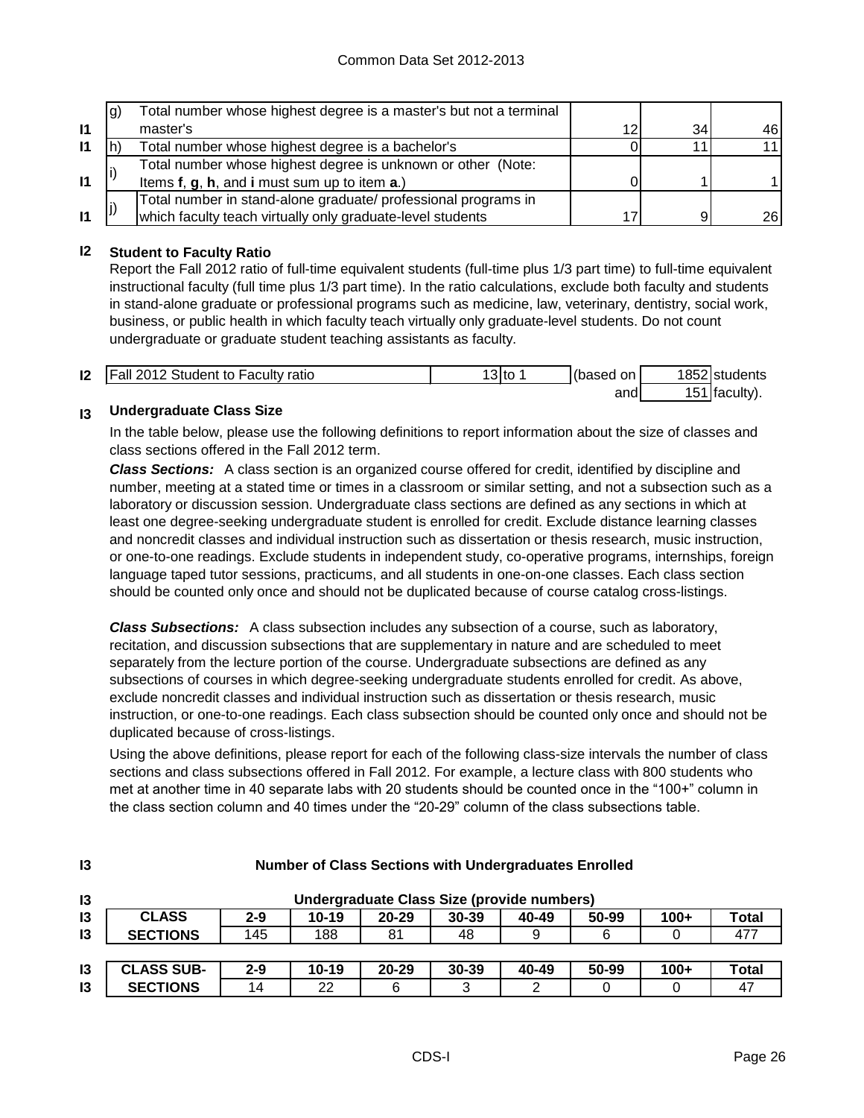|              | lg) | Total number whose highest degree is a master's but not a terminal |    |                 |      |
|--------------|-----|--------------------------------------------------------------------|----|-----------------|------|
| $\mathbf{I}$ |     | master's                                                           | 12 | 34 <sub>l</sub> | 461  |
| $\mathsf{I}$ |     | Total number whose highest degree is a bachelor's                  |    |                 | 11   |
|              |     | Total number whose highest degree is unknown or other (Note:       |    |                 |      |
| $\mathbf{I}$ |     | Items f, g, h, and i must sum up to item a.)                       |    |                 |      |
|              |     | Total number in stand-alone graduate/ professional programs in     |    |                 |      |
| $\mathbf{I}$ |     | which faculty teach virtually only graduate-level students         |    | q               | 26 l |

## **I2 Student to Faculty Ratio**

Report the Fall 2012 ratio of full-time equivalent students (full-time plus 1/3 part time) to full-time equivalent instructional faculty (full time plus 1/3 part time). In the ratio calculations, exclude both faculty and students in stand-alone graduate or professional programs such as medicine, law, veterinary, dentistry, social work, business, or public health in which faculty teach virtually only graduate-level students. Do not count undergraduate or graduate student teaching assistants as faculty.

| $\mathsf{I2}$ | <b>Fall 2012 Student to Faculty ratio</b> | 3lto | (based on | 1852 students             |
|---------------|-------------------------------------------|------|-----------|---------------------------|
|               |                                           |      | and       | <sup>51</sup>   faculty). |

#### **I3 Undergraduate Class Size**

**I3**

In the table below, please use the following definitions to report information about the size of classes and class sections offered in the Fall 2012 term.

*Class Sections:* A class section is an organized course offered for credit, identified by discipline and number, meeting at a stated time or times in a classroom or similar setting, and not a subsection such as a laboratory or discussion session. Undergraduate class sections are defined as any sections in which at least one degree-seeking undergraduate student is enrolled for credit. Exclude distance learning classes and noncredit classes and individual instruction such as dissertation or thesis research, music instruction, or one-to-one readings. Exclude students in independent study, co-operative programs, internships, foreign language taped tutor sessions, practicums, and all students in one-on-one classes. Each class section should be counted only once and should not be duplicated because of course catalog cross-listings.

*Class Subsections:* A class subsection includes any subsection of a course, such as laboratory, recitation, and discussion subsections that are supplementary in nature and are scheduled to meet separately from the lecture portion of the course. Undergraduate subsections are defined as any subsections of courses in which degree-seeking undergraduate students enrolled for credit. As above, exclude noncredit classes and individual instruction such as dissertation or thesis research, music instruction, or one-to-one readings. Each class subsection should be counted only once and should not be duplicated because of cross-listings.

Using the above definitions, please report for each of the following class-size intervals the number of class sections and class subsections offered in Fall 2012. For example, a lecture class with 800 students who met at another time in 40 separate labs with 20 students should be counted once in the "100+" column in the class section column and 40 times under the "20-29" column of the class subsections table.

| $\mathsf{I}3$   | Undergraduate Class Size (provide numbers) |         |           |           |           |       |       |        |              |
|-----------------|--------------------------------------------|---------|-----------|-----------|-----------|-------|-------|--------|--------------|
| 13              | <b>CLASS</b>                               | $2 - 9$ | $10 - 19$ | $20 - 29$ | $30 - 39$ | 40-49 | 50-99 | $100+$ | Total        |
| $\overline{13}$ | <b>SECTIONS</b>                            | 145     | 188       | 81        | 48        |       |       |        | 477          |
|                 |                                            |         |           |           |           |       |       |        |              |
| $\overline{3}$  | <b>CLASS SUB-</b>                          | $2 - 9$ | $10 - 19$ | $20 - 29$ | 30-39     | 40-49 | 50-99 | $100+$ | <b>Total</b> |
| 13              | <b>SECTIONS</b>                            | 14      | 22        | 6         | າ<br>J    | ◠     |       |        | 47           |

## **Number of Class Sections with Undergraduates Enrolled**